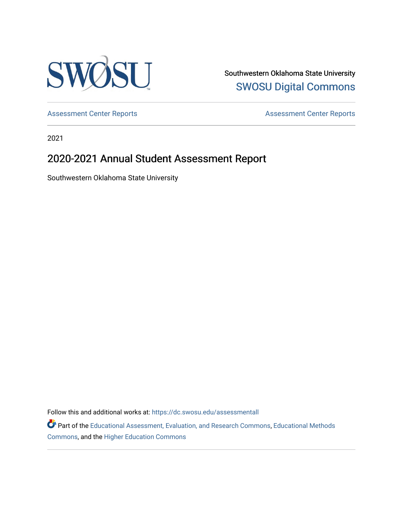

Southwestern Oklahoma State University [SWOSU Digital Commons](https://dc.swosu.edu/) 

[Assessment Center Reports](https://dc.swosu.edu/assessmenthm) **Assessment Center Reports** 

2021

# 2020-2021 Annual Student Assessment Report

Southwestern Oklahoma State University

Follow this and additional works at: [https://dc.swosu.edu/assessmentall](https://dc.swosu.edu/assessmentall?utm_source=dc.swosu.edu%2Fassessmentall%2F101&utm_medium=PDF&utm_campaign=PDFCoverPages) 

Part of the [Educational Assessment, Evaluation, and Research Commons](http://network.bepress.com/hgg/discipline/796?utm_source=dc.swosu.edu%2Fassessmentall%2F101&utm_medium=PDF&utm_campaign=PDFCoverPages), [Educational Methods](http://network.bepress.com/hgg/discipline/1227?utm_source=dc.swosu.edu%2Fassessmentall%2F101&utm_medium=PDF&utm_campaign=PDFCoverPages)  [Commons](http://network.bepress.com/hgg/discipline/1227?utm_source=dc.swosu.edu%2Fassessmentall%2F101&utm_medium=PDF&utm_campaign=PDFCoverPages), and the [Higher Education Commons](http://network.bepress.com/hgg/discipline/1245?utm_source=dc.swosu.edu%2Fassessmentall%2F101&utm_medium=PDF&utm_campaign=PDFCoverPages)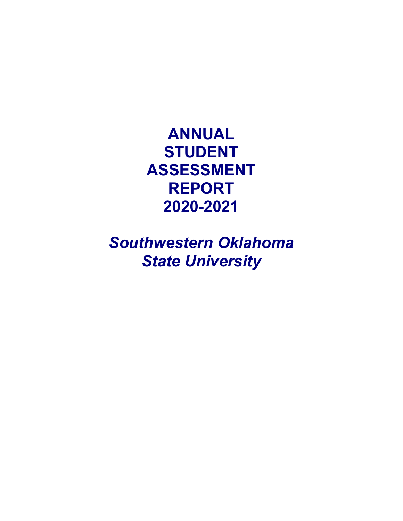**ANNUAL STUDENT ASSESSMENT REPORT 2020-2021** 

*Southwestern Oklahoma State University*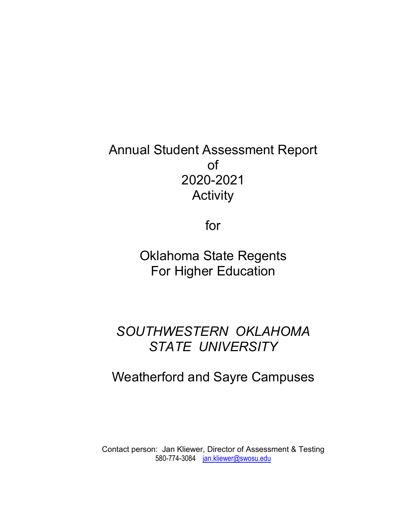# Annual Student Assessment Report of 2020-2021 **Activity**

for

Oklahoma State Regents For Higher Education

# *SOUTHWESTERN OKLAHOMA STATE UNIVERSITY*

# Weatherford and Sayre Campuses

Contact person: Jan Kliewer, Director of Assessment & Testing 580-774-3084 [jan.kliewer@swosu.edu](mailto:jan.kliewer@swosu.edu)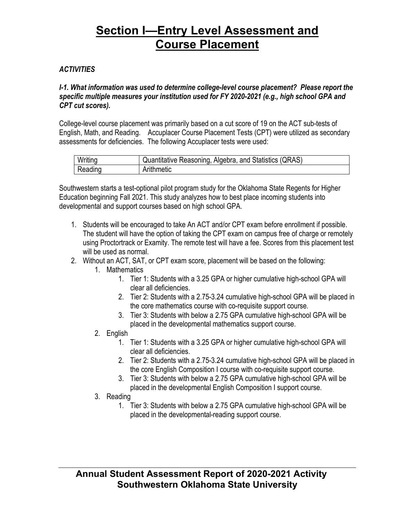## *ACTIVITIES*

*I-1. What information was used to determine college-level course placement? Please report the specific multiple measures your institution used for FY 2020-2021 (e.g., high school GPA and CPT cut scores).*

College-level course placement was primarily based on a cut score of 19 on the ACT sub-tests of English, Math, and Reading. Accuplacer Course Placement Tests (CPT) were utilized as secondary assessments for deficiencies. The following Accuplacer tests were used:

| Writing | Quantitative Reasoning, Algebra, and Statistics (QRAS) |
|---------|--------------------------------------------------------|
| Reading | Arithmetic                                             |

Southwestern starts a test-optional pilot program study for the Oklahoma State Regents for Higher Education beginning Fall 2021. This study analyzes how to best place incoming students into developmental and support courses based on high school GPA.

- 1. Students will be encouraged to take An ACT and/or CPT exam before enrollment if possible. The student will have the option of taking the CPT exam on campus free of charge or remotely using Proctortrack or Examity. The remote test will have a fee. Scores from this placement test will be used as normal.
- 2. Without an ACT, SAT, or CPT exam score, placement will be based on the following:
	- 1. Mathematics
		- 1. Tier 1: Students with a 3.25 GPA or higher cumulative high-school GPA will clear all deficiencies.
		- 2. Tier 2: Students with a 2.75-3.24 cumulative high-school GPA will be placed in the core mathematics course with co-requisite support course.
		- 3. Tier 3: Students with below a 2.75 GPA cumulative high-school GPA will be placed in the developmental mathematics support course.
	- 2. English
		- 1. Tier 1: Students with a 3.25 GPA or higher cumulative high-school GPA will clear all deficiencies.
		- 2. Tier 2: Students with a 2.75-3.24 cumulative high-school GPA will be placed in the core English Composition I course with co-requisite support course.
		- 3. Tier 3: Students with below a 2.75 GPA cumulative high-school GPA will be placed in the developmental English Composition I support course.
	- 3. Reading
		- 1. Tier 3: Students with below a 2.75 GPA cumulative high-school GPA will be placed in the developmental-reading support course.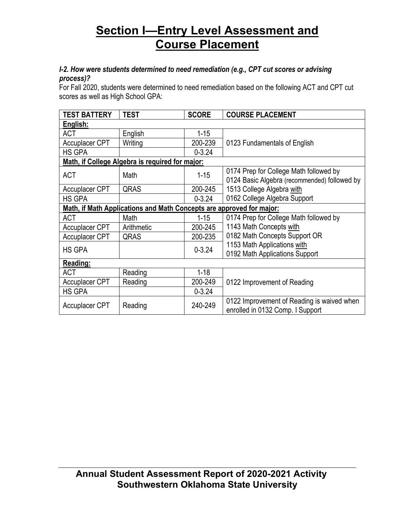### *I-2. How were students determined to need remediation (e.g., CPT cut scores or advising process)?*

For Fall 2020, students were determined to need remediation based on the following ACT and CPT cut scores as well as High School GPA:

| <b>TEST BATTERY</b>   | <b>TEST</b>                                                          | <b>SCORE</b> | <b>COURSE PLACEMENT</b>                                                        |
|-----------------------|----------------------------------------------------------------------|--------------|--------------------------------------------------------------------------------|
| English:              |                                                                      |              |                                                                                |
| <b>ACT</b>            | English                                                              | $1 - 15$     |                                                                                |
| <b>Accuplacer CPT</b> | Writing                                                              | 200-239      | 0123 Fundamentals of English                                                   |
| HS GPA                |                                                                      | $0 - 3.24$   |                                                                                |
|                       | Math, if College Algebra is required for major:                      |              |                                                                                |
| <b>ACT</b>            | Math                                                                 | $1 - 15$     | 0174 Prep for College Math followed by                                         |
|                       |                                                                      |              | 0124 Basic Algebra (recommended) followed by                                   |
| <b>Accuplacer CPT</b> | QRAS                                                                 | 200-245      | 1513 College Algebra with                                                      |
| HS GPA                |                                                                      | $0 - 3.24$   | 0162 College Algebra Support                                                   |
|                       | Math, if Math Applications and Math Concepts are approved for major: |              |                                                                                |
| ACT                   | Math                                                                 | $1 - 15$     | 0174 Prep for College Math followed by                                         |
| <b>Accuplacer CPT</b> | Arithmetic                                                           | 200-245      | 1143 Math Concepts with                                                        |
| <b>Accuplacer CPT</b> | QRAS                                                                 | 200-235      | 0182 Math Concepts Support OR                                                  |
|                       |                                                                      |              | 1153 Math Applications with                                                    |
| <b>HS GPA</b>         |                                                                      | $0 - 3.24$   | 0192 Math Applications Support                                                 |
| Reading:              |                                                                      |              |                                                                                |
| <b>ACT</b>            | Reading                                                              | $1 - 18$     |                                                                                |
| <b>Accuplacer CPT</b> | Reading                                                              | 200-249      | 0122 Improvement of Reading                                                    |
| HS GPA                |                                                                      | $0 - 3.24$   |                                                                                |
| <b>Accuplacer CPT</b> | Reading                                                              | 240-249      | 0122 Improvement of Reading is waived when<br>enrolled in 0132 Comp. I Support |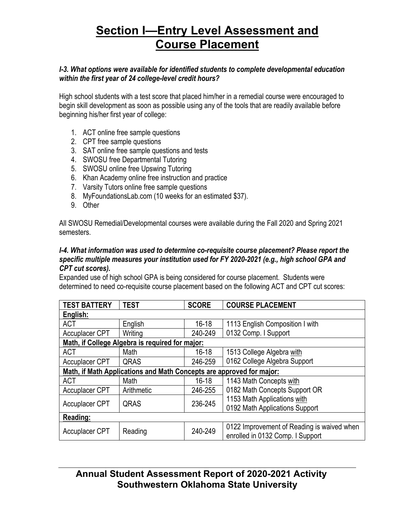### *I-3. What options were available for identified students to complete developmental education within the first year of 24 college-level credit hours?*

High school students with a test score that placed him/her in a remedial course were encouraged to begin skill development as soon as possible using any of the tools that are readily available before beginning his/her first year of college:

- 1. ACT online free sample questions
- 2. CPT free sample questions
- 3. SAT online free sample questions and tests
- 4. SWOSU free Departmental Tutoring
- 5. SWOSU online free Upswing Tutoring
- 6. Khan Academy online free instruction and practice
- 7. Varsity Tutors online free sample questions
- 8. MyFoundationsLab.com (10 weeks for an estimated \$37).
- 9. Other

All SWOSU Remedial/Developmental courses were available during the Fall 2020 and Spring 2021 semesters.

### *I-4. What information was used to determine co-requisite course placement? Please report the specific multiple measures your institution used for FY 2020-2021 (e.g., high school GPA and CPT cut scores).*

Expanded use of high school GPA is being considered for course placement. Students were determined to need co-requisite course placement based on the following ACT and CPT cut scores:

| <b>TEST BATTERY</b>                                                  | <b>TEST</b>                                     | <b>SCORE</b> | <b>COURSE PLACEMENT</b>                    |  |  |  |  |  |  |  |  |
|----------------------------------------------------------------------|-------------------------------------------------|--------------|--------------------------------------------|--|--|--|--|--|--|--|--|
| English:                                                             |                                                 |              |                                            |  |  |  |  |  |  |  |  |
| <b>ACT</b>                                                           | English                                         | $16 - 18$    | 1113 English Composition I with            |  |  |  |  |  |  |  |  |
| Accuplacer CPT                                                       | Writing                                         | 240-249      | 0132 Comp. I Support                       |  |  |  |  |  |  |  |  |
|                                                                      | Math, if College Algebra is required for major: |              |                                            |  |  |  |  |  |  |  |  |
| <b>ACT</b>                                                           | Math                                            | $16 - 18$    | 1513 College Algebra with                  |  |  |  |  |  |  |  |  |
| <b>Accuplacer CPT</b>                                                | QRAS                                            | 246-259      | 0162 College Algebra Support               |  |  |  |  |  |  |  |  |
| Math, if Math Applications and Math Concepts are approved for major: |                                                 |              |                                            |  |  |  |  |  |  |  |  |
| <b>ACT</b>                                                           | Math                                            | $16 - 18$    | 1143 Math Concepts with                    |  |  |  |  |  |  |  |  |
| <b>Accuplacer CPT</b>                                                | Arithmetic                                      | 246-255      | 0182 Math Concepts Support OR              |  |  |  |  |  |  |  |  |
| <b>Accuplacer CPT</b>                                                | QRAS                                            | 236-245      | 1153 Math Applications with                |  |  |  |  |  |  |  |  |
|                                                                      |                                                 |              | 0192 Math Applications Support             |  |  |  |  |  |  |  |  |
| Reading:                                                             |                                                 |              |                                            |  |  |  |  |  |  |  |  |
| <b>Accuplacer CPT</b>                                                | Reading                                         | 240-249      | 0122 Improvement of Reading is waived when |  |  |  |  |  |  |  |  |
|                                                                      |                                                 |              | enrolled in 0132 Comp. I Support           |  |  |  |  |  |  |  |  |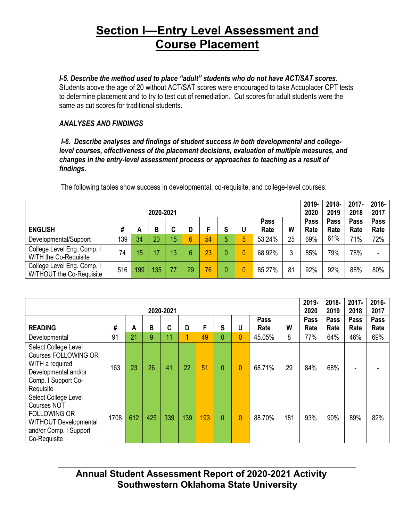## *I-5. Describe the method used to place "adult" students who do not have ACT/SAT scores.*

Students above the age of 20 without ACT/SAT scores were encouraged to take Accuplacer CPT tests to determine placement and to try to test out of remediation. Cut scores for adult students were the same as cut scores for traditional students.

## *ANALYSES AND FINDINGS*

 *I-6. Describe analyses and findings of student success in both developmental and collegelevel courses, effectiveness of the placement decisions, evaluation of multiple measures, and changes in the entry-level assessment process or approaches to teaching as a result of findings.*

|                                                               | 2020-2021 |     |     |    |    |    |        |   |              |    |              |              |              |              |
|---------------------------------------------------------------|-----------|-----|-----|----|----|----|--------|---|--------------|----|--------------|--------------|--------------|--------------|
| <b>ENGLISH</b>                                                | #         | A   | В   | C  | D  |    | е<br>o | U | Pass<br>Rate | W  | Pass<br>Rate | Pass<br>Rate | Pass<br>Rate | Pass<br>Rate |
| Developmental/Support                                         | 139       | 34  | 20  | 15 | 6  | 54 | 5      | 5 | 53.24%       | 25 | 69%          | 61%          | 71%          | 72%          |
| College Level Eng. Comp. I<br>WITH the Co-Requisite           | 74        | 15  |     | 13 | 6  | 23 |        |   | 68.92%       | 3  | 85%          | 79%          | 78%          | ۰            |
| College Level Eng. Comp. I<br><b>WITHOUT the Co-Requisite</b> | 516       | 199 | 135 | 77 | 29 | 76 |        |   | 85.27%       | 81 | 92%          | 92%          | 88%          | 80%          |

The following tables show success in developmental, co-requisite, and college-level courses:

|                                                                                                                                             |      | 2019-<br>2020 | 2018-<br>2019 | $2017 -$<br>2018 | 2016-<br>2017 |     |                |   |              |     |              |              |              |              |
|---------------------------------------------------------------------------------------------------------------------------------------------|------|---------------|---------------|------------------|---------------|-----|----------------|---|--------------|-----|--------------|--------------|--------------|--------------|
| <b>READING</b>                                                                                                                              | #    | A             | B             | C                | D             | F   | S              | U | Pass<br>Rate | W   | Pass<br>Rate | Pass<br>Rate | Pass<br>Rate | Pass<br>Rate |
| Developmental                                                                                                                               | 91   | 21            | 9             | 11               | 4             | 49  | $\overline{0}$ | 0 | 45.05%       | 8   | 77%          | 64%          | 46%          | 69%          |
| Select College Level<br><b>Courses FOLLOWING OR</b><br>WITH a required<br>Developmental and/or<br>Comp. I Support Co-<br>Requisite          | 163  | 23            | 26            | 41               | 22            | 51  | $\overline{0}$ | 0 | 68.71%       | 29  | 84%          | 68%          |              |              |
| Select College Level<br><b>Courses NOT</b><br><b>FOLLOWING OR</b><br><b>WITHOUT Developmental</b><br>and/or Comp. I Support<br>Co-Requisite | 1708 | 612           | 425           | 339              | 139           | 193 | $\overline{0}$ | 0 | 88.70%       | 181 | 93%          | 90%          | 89%          | 82%          |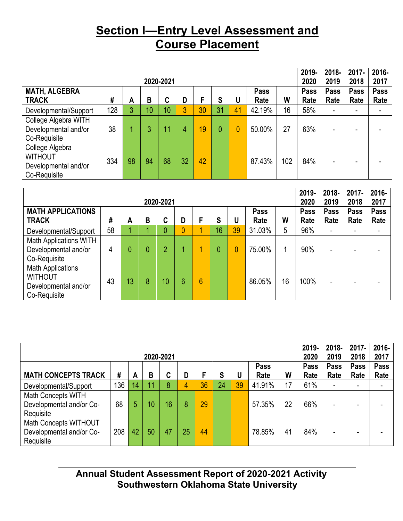|                                                                           | 2019-<br>2020 | 2018-<br>2019 | $2017 -$<br>2018 | 2016-<br>2017 |    |    |    |    |              |     |              |                     |              |                     |
|---------------------------------------------------------------------------|---------------|---------------|------------------|---------------|----|----|----|----|--------------|-----|--------------|---------------------|--------------|---------------------|
| <b>MATH, ALGEBRA</b><br><b>TRACK</b>                                      | #             | А             | В                | C             | D  | F  | S  | U  | Pass<br>Rate | W   | Pass<br>Rate | <b>Pass</b><br>Rate | Pass<br>Rate | <b>Pass</b><br>Rate |
| Developmental/Support                                                     | 128           | 3             | 10               | 10            | 3  | 30 | 31 | 41 | 42.19%       | 16  | 58%          |                     | -            |                     |
| College Algebra WITH<br>Developmental and/or<br>Co-Requisite              | 38            |               | 3                | 11            | 4  | 19 | 0  | 0  | 50.00%       | 27  | 63%          |                     |              |                     |
| College Algebra<br><b>WITHOUT</b><br>Developmental and/or<br>Co-Requisite | 334           | 98            | 94               | 68            | 32 | 42 |    |    | 87.43%       | 102 | 84%          |                     | -            |                     |

|                                                                                    | 2020-2021 |    |   |                |   |                 |    |                |                     |    |                     |              |              |                     |
|------------------------------------------------------------------------------------|-----------|----|---|----------------|---|-----------------|----|----------------|---------------------|----|---------------------|--------------|--------------|---------------------|
| <b>MATH APPLICATIONS</b><br><b>TRACK</b>                                           | #         | A  | В | ⌒<br>u         | D | F               | S  | U              | <b>Pass</b><br>Rate | W  | <b>Pass</b><br>Rate | Pass<br>Rate | Pass<br>Rate | <b>Pass</b><br>Rate |
| Developmental/Support                                                              | 58        |    |   | 0              |   | 1               | 16 | 39             | 31.03%              | 5  | 96%                 | ٠            | -            |                     |
| <b>Math Applications WITH</b><br>Developmental and/or<br>Co-Requisite              | 4         |    | 0 | $\overline{2}$ |   | 1               |    | $\overline{0}$ | 75.00%              |    | 90%                 | ۰            | -            |                     |
| <b>Math Applications</b><br><b>WITHOUT</b><br>Developmental and/or<br>Co-Requisite | 43        | 13 | 8 | 10             | 6 | $6\phantom{1}6$ |    |                | 86.05%              | 16 | 100%                |              | -            |                     |

|                                                                | 2020-2021 |    |    |    |    |    |    |    |        |    |      |      |      | 2016-<br>2017 |
|----------------------------------------------------------------|-----------|----|----|----|----|----|----|----|--------|----|------|------|------|---------------|
| Pass<br><b>Pass</b>                                            |           |    |    |    |    |    |    |    |        |    |      | Pass | Pass | <b>Pass</b>   |
| <b>MATH CONCEPTS TRACK</b>                                     | #         | A  | B  | r  | D  |    | S  |    | Rate   | W  | Rate | Rate | Rate | Rate          |
| Developmental/Support                                          | 136       | 14 | 11 | 8  |    | 36 | 24 | 39 | 41.91% | 17 | 61%  | -    | ۰.   | ۰             |
| Math Concepts WITH<br>Developmental and/or Co-<br>Requisite    | 68        | 5  | 10 | 16 | 8  | 29 |    |    | 57.35% | 22 | 66%  |      | -    |               |
| Math Concepts WITHOUT<br>Developmental and/or Co-<br>Requisite | 208       | 42 | 50 | 47 | 25 | 44 |    |    | 78.85% | 41 | 84%  |      | ۰    |               |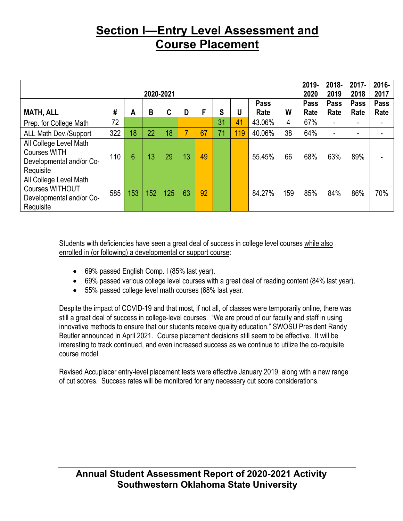|                                                                                           |     |     |           |     |    |    |    |     |        |     |      | 2018-       | $2017 -$ | 2016- |
|-------------------------------------------------------------------------------------------|-----|-----|-----------|-----|----|----|----|-----|--------|-----|------|-------------|----------|-------|
|                                                                                           |     |     | 2020-2021 |     |    |    |    |     |        |     | 2020 | 2019        | 2018     | 2017  |
|                                                                                           |     |     |           |     |    |    |    |     | Pass   |     | Pass | <b>Pass</b> | Pass     | Pass  |
| <b>MATH, ALL</b>                                                                          | #   | A   | B         | C   | D  | F  | S  | U   | Rate   | W   | Rate | Rate        | Rate     | Rate  |
| Prep. for College Math                                                                    | 72  |     |           |     |    |    | 31 | 41  | 43.06% | 4   | 67%  |             |          |       |
| <b>ALL Math Dev./Support</b>                                                              | 322 | 18  | 22        | 18  | ⇁  | 67 | 71 | 119 | 40.06% | 38  | 64%  |             |          |       |
| All College Level Math<br><b>Courses WITH</b><br>Developmental and/or Co-<br>Requisite    | 110 | 6   | 13        | 29  | 13 | 49 |    |     | 55.45% | 66  | 68%  | 63%         | 89%      |       |
| All College Level Math<br><b>Courses WITHOUT</b><br>Developmental and/or Co-<br>Requisite | 585 | 153 | 152       | 125 | 63 | 92 |    |     | 84.27% | 159 | 85%  | 84%         | 86%      | 70%   |

Students with deficiencies have seen a great deal of success in college level courses while also enrolled in (or following) a developmental or support course:

- 69% passed English Comp. I (85% last year).
- 69% passed various college level courses with a great deal of reading content (84% last year).
- 55% passed college level math courses (68% last year.

Despite the impact of COVID-19 and that most, if not all, of classes were temporarily online, there was still a great deal of success in college-level courses. "We are proud of our faculty and staff in using innovative methods to ensure that our students receive quality education," SWOSU President Randy Beutler announced in April 2021. Course placement decisions still seem to be effective. It will be interesting to track continued, and even increased success as we continue to utilize the co-requisite course model.

Revised Accuplacer entry-level placement tests were effective January 2019, along with a new range of cut scores. Success rates will be monitored for any necessary cut score considerations.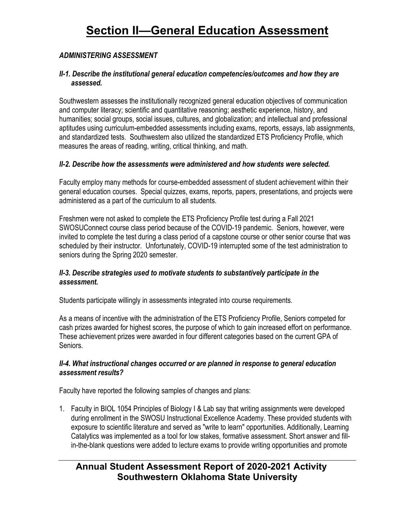## *ADMINISTERING ASSESSMENT*

### *II-1. Describe the institutional general education competencies/outcomes and how they are assessed.*

Southwestern assesses the institutionally recognized general education objectives of communication and computer literacy; scientific and quantitative reasoning; aesthetic experience, history, and humanities; social groups, social issues, cultures, and globalization; and intellectual and professional aptitudes using curriculum-embedded assessments including exams, reports, essays, lab assignments, and standardized tests. Southwestern also utilized the standardized ETS Proficiency Profile, which measures the areas of reading, writing, critical thinking, and math.

### *II-2. Describe how the assessments were administered and how students were selected.*

Faculty employ many methods for course-embedded assessment of student achievement within their general education courses. Special quizzes, exams, reports, papers, presentations, and projects were administered as a part of the curriculum to all students.

Freshmen were not asked to complete the ETS Proficiency Profile test during a Fall 2021 SWOSUConnect course class period because of the COVID-19 pandemic. Seniors, however, were invited to complete the test during a class period of a capstone course or other senior course that was scheduled by their instructor. Unfortunately, COVID-19 interrupted some of the test administration to seniors during the Spring 2020 semester.

### *II-3. Describe strategies used to motivate students to substantively participate in the assessment.*

Students participate willingly in assessments integrated into course requirements.

As a means of incentive with the administration of the ETS Proficiency Profile, Seniors competed for cash prizes awarded for highest scores, the purpose of which to gain increased effort on performance. These achievement prizes were awarded in four different categories based on the current GPA of Seniors.

### *II-4. What instructional changes occurred or are planned in response to general education assessment results?*

Faculty have reported the following samples of changes and plans:

1. Faculty in BIOL 1054 Principles of Biology I & Lab say that writing assignments were developed during enrollment in the SWOSU Instructional Excellence Academy. These provided students with exposure to scientific literature and served as "write to learn" opportunities. Additionally, Learning Catalytics was implemented as a tool for low stakes, formative assessment. Short answer and fillin-the-blank questions were added to lecture exams to provide writing opportunities and promote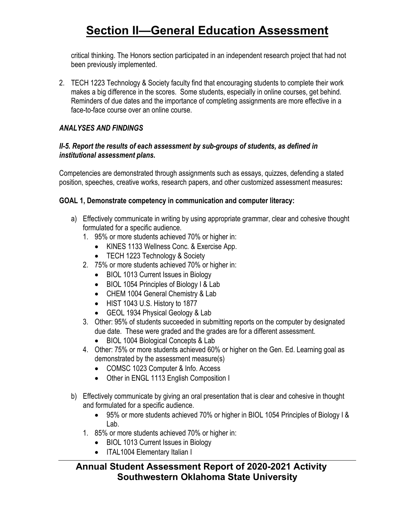critical thinking. The Honors section participated in an independent research project that had not been previously implemented.

2. TECH 1223 Technology & Society faculty find that encouraging students to complete their work makes a big difference in the scores. Some students, especially in online courses, get behind. Reminders of due dates and the importance of completing assignments are more effective in a face-to-face course over an online course.

### *ANALYSES AND FINDINGS*

#### *II-5. Report the results of each assessment by sub-groups of students, as defined in institutional assessment plans.*

Competencies are demonstrated through assignments such as essays, quizzes, defending a stated position, speeches, creative works, research papers, and other customized assessment measures**:**

### **GOAL 1, Demonstrate competency in communication and computer literacy:**

- a) Effectively communicate in writing by using appropriate grammar, clear and cohesive thought formulated for a specific audience.
	- 1. 95% or more students achieved 70% or higher in:
		- KINES 1133 Wellness Conc. & Exercise App.
		- TECH 1223 Technology & Society
	- 2. 75% or more students achieved 70% or higher in:
		- BIOL 1013 Current Issues in Biology
		- BIOL 1054 Principles of Biology I & Lab
		- CHEM 1004 General Chemistry & Lab
		- HIST 1043 U.S. History to 1877
		- GEOL 1934 Physical Geology & Lab
	- 3. Other: 95% of students succeeded in submitting reports on the computer by designated due date. These were graded and the grades are for a different assessment.
		- BIOL 1004 Biological Concepts & Lab
	- 4. Other: 75% or more students achieved 60% or higher on the Gen. Ed. Learning goal as demonstrated by the assessment measure(s)
		- COMSC 1023 Computer & Info. Access
		- Other in ENGL 1113 English Composition I
- b) Effectively communicate by giving an oral presentation that is clear and cohesive in thought and formulated for a specific audience.
	- 95% or more students achieved 70% or higher in BIOL 1054 Principles of Biology I & Lab.
	- 1. 85% or more students achieved 70% or higher in:
		- BIOL 1013 Current Issues in Biology
		- ITAL1004 Elementary Italian I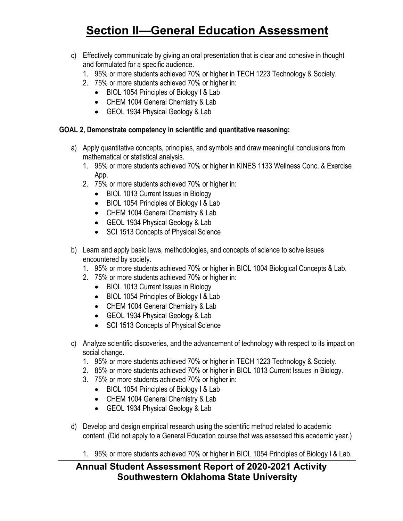- c) Effectively communicate by giving an oral presentation that is clear and cohesive in thought and formulated for a specific audience.
	- 1. 95% or more students achieved 70% or higher in TECH 1223 Technology & Society.
	- 2. 75% or more students achieved 70% or higher in:
		- BIOL 1054 Principles of Biology I & Lab
		- CHEM 1004 General Chemistry & Lab
		- GEOL 1934 Physical Geology & Lab

### **GOAL 2, Demonstrate competency in scientific and quantitative reasoning:**

- a) Apply quantitative concepts, principles, and symbols and draw meaningful conclusions from mathematical or statistical analysis.
	- 1. 95% or more students achieved 70% or higher in KINES 1133 Wellness Conc. & Exercise App.
	- 2. 75% or more students achieved 70% or higher in:
		- BIOL 1013 Current Issues in Biology
		- BIOL 1054 Principles of Biology I & Lab
		- CHEM 1004 General Chemistry & Lab
		- GEOL 1934 Physical Geology & Lab
		- SCI 1513 Concepts of Physical Science
- b) Learn and apply basic laws, methodologies, and concepts of science to solve issues encountered by society.
	- 1. 95% or more students achieved 70% or higher in BIOL 1004 Biological Concepts & Lab.
	- 2. 75% or more students achieved 70% or higher in:
		- BIOL 1013 Current Issues in Biology
		- BIOL 1054 Principles of Biology I & Lab
		- CHEM 1004 General Chemistry & Lab
		- GEOL 1934 Physical Geology & Lab
		- SCI 1513 Concepts of Physical Science
- c) Analyze scientific discoveries, and the advancement of technology with respect to its impact on social change.
	- 1. 95% or more students achieved 70% or higher in TECH 1223 Technology & Society.
	- 2. 85% or more students achieved 70% or higher in BIOL 1013 Current Issues in Biology.
	- 3. 75% or more students achieved 70% or higher in:
		- BIOL 1054 Principles of Biology I & Lab
		- CHEM 1004 General Chemistry & Lab
		- GEOL 1934 Physical Geology & Lab
- d) Develop and design empirical research using the scientific method related to academic content. (Did not apply to a General Education course that was assessed this academic year.)
	- 1. 95% or more students achieved 70% or higher in BIOL 1054 Principles of Biology I & Lab.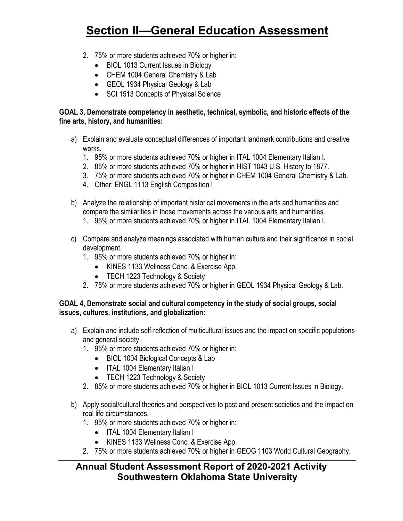- 2. 75% or more students achieved 70% or higher in:
	- BIOL 1013 Current Issues in Biology
	- CHEM 1004 General Chemistry & Lab
	- GEOL 1934 Physical Geology & Lab
	- SCI 1513 Concepts of Physical Science

### **GOAL 3, Demonstrate competency in aesthetic, technical, symbolic, and historic effects of the fine arts, history, and humanities:**

- a) Explain and evaluate conceptual differences of important landmark contributions and creative works.
	- 1. 95% or more students achieved 70% or higher in ITAL 1004 Elementary Italian I.
	- 2. 85% or more students achieved 70% or higher in HIST 1043 U.S. History to 1877.
	- 3. 75% or more students achieved 70% or higher in CHEM 1004 General Chemistry & Lab.
	- 4. Other: ENGL 1113 English Composition I
- b) Analyze the relationship of important historical movements in the arts and humanities and compare the similarities in those movements across the various arts and humanities.
	- 1. 95% or more students achieved 70% or higher in ITAL 1004 Elementary Italian I.
- c) Compare and analyze meanings associated with human culture and their significance in social development.
	- 1. 95% or more students achieved 70% or higher in:
		- KINES 1133 Wellness Conc. & Exercise App.
		- TECH 1223 Technology & Society
	- 2. 75% or more students achieved 70% or higher in GEOL 1934 Physical Geology & Lab.

## **GOAL 4, Demonstrate social and cultural competency in the study of social groups, social issues, cultures, institutions, and globalization:**

- a) Explain and include self-reflection of multicultural issues and the impact on specific populations and general society.
	- 1. 95% or more students achieved 70% or higher in:
		- BIOL 1004 Biological Concepts & Lab
		- ITAL 1004 Elementary Italian I
		- TECH 1223 Technology & Society
	- 2. 85% or more students achieved 70% or higher in BIOL 1013 Current Issues in Biology.
- b) Apply social/cultural theories and perspectives to past and present societies and the impact on real life circumstances.
	- 1. 95% or more students achieved 70% or higher in:
		- ITAL 1004 Elementary Italian I
		- KINES 1133 Wellness Conc. & Exercise App.
	- 2. 75% or more students achieved 70% or higher in GEOG 1103 World Cultural Geography.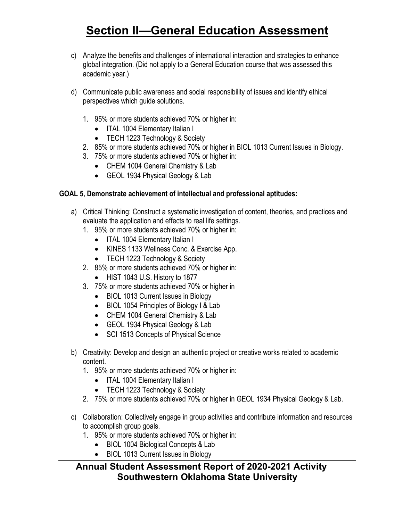- c) Analyze the benefits and challenges of international interaction and strategies to enhance global integration. (Did not apply to a General Education course that was assessed this academic year.)
- d) Communicate public awareness and social responsibility of issues and identify ethical perspectives which guide solutions.
	- 1. 95% or more students achieved 70% or higher in:
		- ITAL 1004 Elementary Italian I
		- TECH 1223 Technology & Society
	- 2. 85% or more students achieved 70% or higher in BIOL 1013 Current Issues in Biology.
	- 3. 75% or more students achieved 70% or higher in:
		- CHEM 1004 General Chemistry & Lab
		- GEOL 1934 Physical Geology & Lab

### **GOAL 5, Demonstrate achievement of intellectual and professional aptitudes:**

- a) Critical Thinking: Construct a systematic investigation of content, theories, and practices and evaluate the application and effects to real life settings.
	- 1. 95% or more students achieved 70% or higher in:
		- ITAL 1004 Elementary Italian I
		- KINES 1133 Wellness Conc. & Exercise App.
		- TECH 1223 Technology & Society
	- 2. 85% or more students achieved 70% or higher in:
		- HIST 1043 U.S. History to 1877
	- 3. 75% or more students achieved 70% or higher in
		- BIOL 1013 Current Issues in Biology
		- BIOL 1054 Principles of Biology I & Lab
		- CHEM 1004 General Chemistry & Lab
		- GEOL 1934 Physical Geology & Lab
		- SCI 1513 Concepts of Physical Science
- b) Creativity: Develop and design an authentic project or creative works related to academic content.
	- 1. 95% or more students achieved 70% or higher in:
		- ITAL 1004 Elementary Italian I
		- TECH 1223 Technology & Society
	- 2. 75% or more students achieved 70% or higher in GEOL 1934 Physical Geology & Lab.

### c) Collaboration: Collectively engage in group activities and contribute information and resources to accomplish group goals.

- 1. 95% or more students achieved 70% or higher in:
	- BIOL 1004 Biological Concepts & Lab
	- BIOL 1013 Current Issues in Biology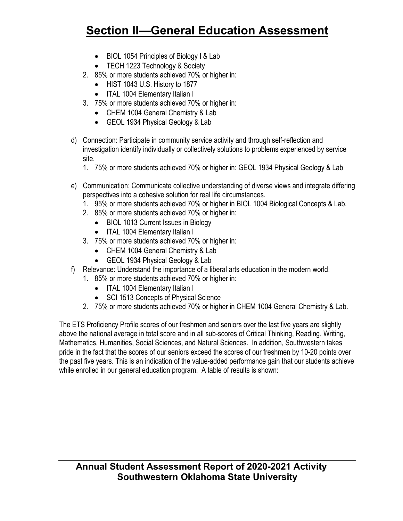- BIOL 1054 Principles of Biology I & Lab
- TECH 1223 Technology & Society
- 2. 85% or more students achieved 70% or higher in:
	- HIST 1043 U.S. History to 1877
	- ITAL 1004 Elementary Italian I
- 3. 75% or more students achieved 70% or higher in:
	- CHEM 1004 General Chemistry & Lab
	- GEOL 1934 Physical Geology & Lab
- d) Connection: Participate in community service activity and through self-reflection and investigation identify individually or collectively solutions to problems experienced by service site.
	- 1. 75% or more students achieved 70% or higher in: GEOL 1934 Physical Geology & Lab
- e) Communication: Communicate collective understanding of diverse views and integrate differing perspectives into a cohesive solution for real life circumstances.
	- 1. 95% or more students achieved 70% or higher in BIOL 1004 Biological Concepts & Lab.
	- 2. 85% or more students achieved 70% or higher in:
		- BIOL 1013 Current Issues in Biology
		- ITAL 1004 Elementary Italian I
	- 3. 75% or more students achieved 70% or higher in:
		- CHEM 1004 General Chemistry & Lab
		- GEOL 1934 Physical Geology & Lab
- f) Relevance: Understand the importance of a liberal arts education in the modern world.
	- 1. 85% or more students achieved 70% or higher in:
		- ITAL 1004 Elementary Italian I
		- SCI 1513 Concepts of Physical Science
	- 2. 75% or more students achieved 70% or higher in CHEM 1004 General Chemistry & Lab.

The ETS Proficiency Profile scores of our freshmen and seniors over the last five years are slightly above the national average in total score and in all sub-scores of Critical Thinking, Reading, Writing, Mathematics, Humanities, Social Sciences, and Natural Sciences. In addition, Southwestern takes pride in the fact that the scores of our seniors exceed the scores of our freshmen by 10-20 points over the past five years. This is an indication of the value-added performance gain that our students achieve while enrolled in our general education program. A table of results is shown: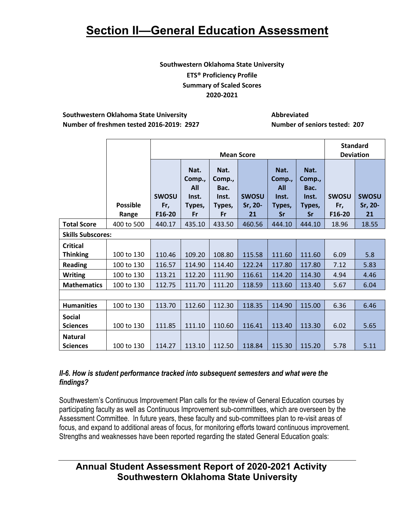### **Southwestern Oklahoma State University ETS® Proficiency Profile Summary of Scaled Scores 2020-2021**

#### **Southwestern Oklahoma State University Abbreviated Number of freshmen tested 2016-2019: 2927 Number of seniors tested: 207**

|                                  |                          |                               |                                                |                                                 | <b>Standard</b>               |                                                              |                                                        |                               |                               |
|----------------------------------|--------------------------|-------------------------------|------------------------------------------------|-------------------------------------------------|-------------------------------|--------------------------------------------------------------|--------------------------------------------------------|-------------------------------|-------------------------------|
|                                  |                          |                               |                                                |                                                 | <b>Mean Score</b>             |                                                              |                                                        | <b>Deviation</b>              |                               |
|                                  | <b>Possible</b><br>Range | <b>SWOSU</b><br>Fr,<br>F16-20 | Nat.<br>Comp.,<br>All<br>Inst.<br>Types,<br>Fr | Nat.<br>Comp.,<br>Bac.<br>Inst.<br>Types,<br>Fr | <b>SWOSU</b><br>Sr, 20-<br>21 | Nat.<br>Comp.,<br><b>All</b><br>Inst.<br>Types,<br><b>Sr</b> | Nat.<br>Comp.,<br>Bac.<br>Inst.<br>Types,<br><b>Sr</b> | <b>SWOSU</b><br>Fr,<br>F16-20 | <b>SWOSU</b><br>Sr, 20-<br>21 |
| <b>Total Score</b>               | 400 to 500               | 440.17                        | 435.10                                         | 433.50                                          | 460.56                        | 444.10                                                       | 444.10                                                 | 18.96                         | 18.55                         |
| <b>Skills Subscores:</b>         |                          |                               |                                                |                                                 |                               |                                                              |                                                        |                               |                               |
| <b>Critical</b>                  |                          |                               |                                                |                                                 |                               |                                                              |                                                        |                               |                               |
| <b>Thinking</b>                  | 100 to 130               | 110.46                        | 109.20                                         | 108.80                                          | 115.58                        | 111.60                                                       | 111.60                                                 | 6.09                          | 5.8                           |
| <b>Reading</b>                   | 100 to 130               | 116.57                        | 114.90                                         | 114.40                                          | 122.24                        | 117.80                                                       | 117.80                                                 | 7.12                          | 5.83                          |
| <b>Writing</b>                   | 100 to 130               | 113.21                        | 112.20                                         | 111.90                                          | 116.61                        | 114.20                                                       | 114.30                                                 | 4.94                          | 4.46                          |
| <b>Mathematics</b>               | 100 to 130               | 112.75                        | 111.70                                         | 111.20                                          | 118.59                        | 113.60                                                       | 113.40                                                 | 5.67                          | 6.04                          |
|                                  |                          |                               |                                                |                                                 |                               |                                                              |                                                        |                               |                               |
| <b>Humanities</b>                | 100 to 130               | 113.70                        | 112.60                                         | 112.30                                          | 118.35                        | 114.90                                                       | 115.00                                                 | 6.36                          | 6.46                          |
| <b>Social</b><br><b>Sciences</b> | 100 to 130               | 111.85                        | 111.10                                         | 110.60                                          | 116.41                        | 113.40                                                       | 113.30                                                 | 6.02                          | 5.65                          |
| <b>Natural</b>                   |                          |                               |                                                |                                                 |                               |                                                              |                                                        |                               |                               |
| <b>Sciences</b>                  | 100 to 130               | 114.27                        | 113.10                                         | 112.50                                          | 118.84                        | 115.30                                                       | 115.20                                                 | 5.78                          | 5.11                          |

### *II-6. How is student performance tracked into subsequent semesters and what were the findings?*

Southwestern's Continuous Improvement Plan calls for the review of General Education courses by participating faculty as well as Continuous Improvement sub-committees, which are overseen by the Assessment Committee. In future years, these faculty and sub-committees plan to re-visit areas of focus, and expand to additional areas of focus, for monitoring efforts toward continuous improvement. Strengths and weaknesses have been reported regarding the stated General Education goals: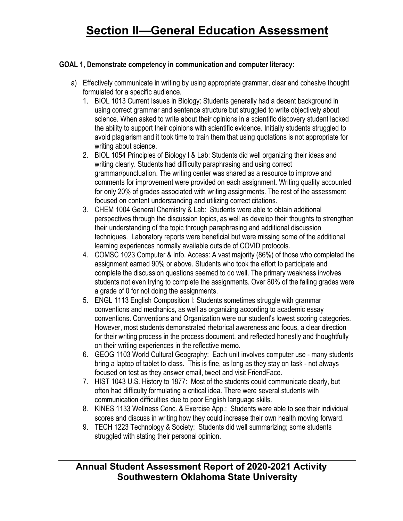## **GOAL 1, Demonstrate competency in communication and computer literacy:**

- a) Effectively communicate in writing by using appropriate grammar, clear and cohesive thought formulated for a specific audience.
	- 1. BIOL 1013 Current Issues in Biology: Students generally had a decent background in using correct grammar and sentence structure but struggled to write objectively about science. When asked to write about their opinions in a scientific discovery student lacked the ability to support their opinions with scientific evidence. Initially students struggled to avoid plagiarism and it took time to train them that using quotations is not appropriate for writing about science.
	- 2. BIOL 1054 Principles of Biology I & Lab: Students did well organizing their ideas and writing clearly. Students had difficulty paraphrasing and using correct grammar/punctuation. The writing center was shared as a resource to improve and comments for improvement were provided on each assignment. Writing quality accounted for only 20% of grades associated with writing assignments. The rest of the assessment focused on content understanding and utilizing correct citations.
	- 3. CHEM 1004 General Chemistry & Lab: Students were able to obtain additional perspectives through the discussion topics, as well as develop their thoughts to strengthen their understanding of the topic through paraphrasing and additional discussion techniques. Laboratory reports were beneficial but were missing some of the additional learning experiences normally available outside of COVID protocols.
	- 4. COMSC 1023 Computer & Info. Access: A vast majority (86%) of those who completed the assignment earned 90% or above. Students who took the effort to participate and complete the discussion questions seemed to do well. The primary weakness involves students not even trying to complete the assignments. Over 80% of the failing grades were a grade of 0 for not doing the assignments.
	- 5. ENGL 1113 English Composition I: Students sometimes struggle with grammar conventions and mechanics, as well as organizing according to academic essay conventions. Conventions and Organization were our student's lowest scoring categories. However, most students demonstrated rhetorical awareness and focus, a clear direction for their writing process in the process document, and reflected honestly and thoughtfully on their writing experiences in the reflective memo.
	- 6. GEOG 1103 World Cultural Geography: Each unit involves computer use many students bring a laptop of tablet to class. This is fine, as long as they stay on task - not always focused on test as they answer email, tweet and visit FriendFace.
	- 7. HIST 1043 U.S. History to 1877: Most of the students could communicate clearly, but often had difficulty formulating a critical idea. There were several students with communication difficulties due to poor English language skills.
	- 8. KINES 1133 Wellness Conc. & Exercise App.: Students were able to see their individual scores and discuss in writing how they could increase their own health moving forward.
	- 9. TECH 1223 Technology & Society: Students did well summarizing; some students struggled with stating their personal opinion.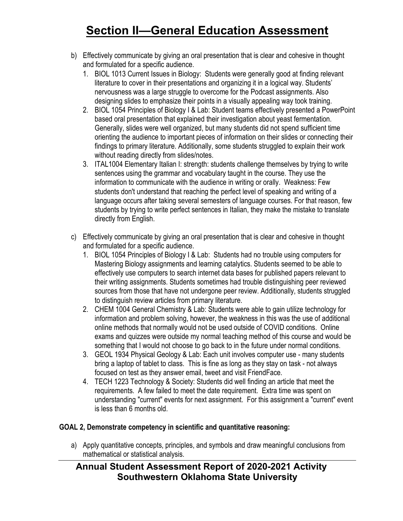- b) Effectively communicate by giving an oral presentation that is clear and cohesive in thought and formulated for a specific audience.
	- 1. BIOL 1013 Current Issues in Biology: Students were generally good at finding relevant literature to cover in their presentations and organizing it in a logical way. Students' nervousness was a large struggle to overcome for the Podcast assignments. Also designing slides to emphasize their points in a visually appealing way took training.
	- 2. BIOL 1054 Principles of Biology I & Lab: Student teams effectively presented a PowerPoint based oral presentation that explained their investigation about yeast fermentation. Generally, slides were well organized, but many students did not spend sufficient time orienting the audience to important pieces of information on their slides or connecting their findings to primary literature. Additionally, some students struggled to explain their work without reading directly from slides/notes.
	- 3. ITAL1004 Elementary Italian I: strength: students challenge themselves by trying to write sentences using the grammar and vocabulary taught in the course. They use the information to communicate with the audience in writing or orally. Weakness: Few students don't understand that reaching the perfect level of speaking and writing of a language occurs after taking several semesters of language courses. For that reason, few students by trying to write perfect sentences in Italian, they make the mistake to translate directly from English.
- c) Effectively communicate by giving an oral presentation that is clear and cohesive in thought and formulated for a specific audience.
	- 1. BIOL 1054 Principles of Biology I & Lab: Students had no trouble using computers for Mastering Biology assignments and learning catalytics. Students seemed to be able to effectively use computers to search internet data bases for published papers relevant to their writing assignments. Students sometimes had trouble distinguishing peer reviewed sources from those that have not undergone peer review. Additionally, students struggled to distinguish review articles from primary literature.
	- 2. CHEM 1004 General Chemistry & Lab: Students were able to gain utilize technology for information and problem solving, however, the weakness in this was the use of additional online methods that normally would not be used outside of COVID conditions. Online exams and quizzes were outside my normal teaching method of this course and would be something that I would not choose to go back to in the future under normal conditions.
	- 3. GEOL 1934 Physical Geology & Lab: Each unit involves computer use many students bring a laptop of tablet to class. This is fine as long as they stay on task - not always focused on test as they answer email, tweet and visit FriendFace.
	- 4. TECH 1223 Technology & Society: Students did well finding an article that meet the requirements. A few failed to meet the date requirement. Extra time was spent on understanding "current" events for next assignment. For this assignment a "current" event is less than 6 months old.

## **GOAL 2, Demonstrate competency in scientific and quantitative reasoning:**

a) Apply quantitative concepts, principles, and symbols and draw meaningful conclusions from mathematical or statistical analysis.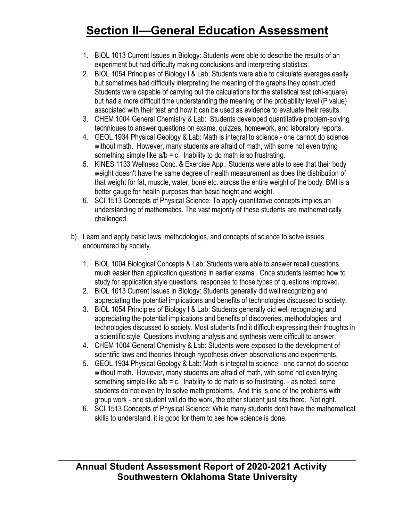- 1. BIOL 1013 Current Issues in Biology: Students were able to describe the results of an experiment but had difficulty making conclusions and interpreting statistics.
- 2. BIOL 1054 Principles of Biology I & Lab: Students were able to calculate averages easily but sometimes had difficulty interpreting the meaning of the graphs they constructed. Students were capable of carrying out the calculations for the statistical test (chi-square) but had a more difficult time understanding the meaning of the probability level (P value) associated with their test and how it can be used as evidence to evaluate their results.
- 3. CHEM 1004 General Chemistry & Lab: Students developed quantitative problem-solving techniques to answer questions on exams, quizzes, homework, and laboratory reports.
- 4. GEOL 1934 Physical Geology & Lab: Math is integral to science one cannot do science without math. However, many students are afraid of math, with some not even trying something simple like  $a/b = c$ . Inability to do math is so frustrating.
- 5. KINES 1133 Wellness Conc. & Exercise App.: Students were able to see that their body weight doesn't have the same degree of health measurement as does the distribution of that weight for fat, muscle, water, bone etc. across the entire weight of the body. BMI is a better gauge for health purposes than basic height and weight.
- 6. SCI 1513 Concepts of Physical Science: To apply quantitative concepts implies an understanding of mathematics. The vast majority of these students are mathematically challenged.
- b) Learn and apply basic laws, methodologies, and concepts of science to solve issues encountered by society.
	- 1. BIOL 1004 Biological Concepts & Lab: Students were able to answer recall questions much easier than application questions in earlier exams. Once students learned how to study for application style questions, responses to those types of questions improved.
	- 2. BIOL 1013 Current Issues in Biology: Students generally did well recognizing and appreciating the potential implications and benefits of technologies discussed to society.
	- 3. BIOL 1054 Principles of Biology I & Lab: Students generally did well recognizing and appreciating the potential implications and benefits of discoveries, methodologies, and technologies discussed to society. Most students find it difficult expressing their thoughts in a scientific style. Questions involving analysis and synthesis were difficult to answer.
	- 4. CHEM 1004 General Chemistry & Lab: Students were exposed to the development of scientific laws and theories through hypothesis driven observations and experiments.
	- 5. GEOL 1934 Physical Geology & Lab: Math is integral to science one cannot do science without math. However, many students are afraid of math, with some not even trying something simple like  $a/b = c$ . Inability to do math is so frustrating. - as noted, some students do not even try to solve math problems. And this is one of the problems with group work - one student will do the work, the other student just sits there. Not right.
	- 6. SCI 1513 Concepts of Physical Science: While many students don't have the mathematical skills to understand, it is good for them to see how science is done.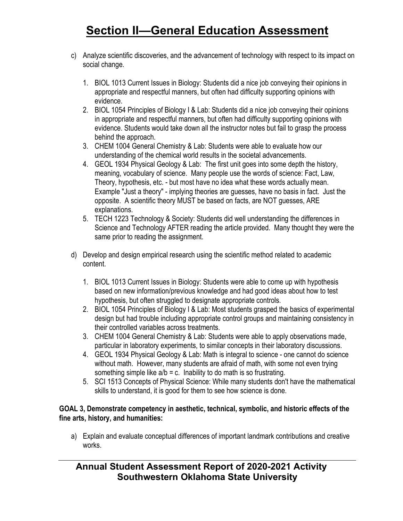- c) Analyze scientific discoveries, and the advancement of technology with respect to its impact on social change.
	- 1. BIOL 1013 Current Issues in Biology: Students did a nice job conveying their opinions in appropriate and respectful manners, but often had difficulty supporting opinions with evidence.
	- 2. BIOL 1054 Principles of Biology I & Lab: Students did a nice job conveying their opinions in appropriate and respectful manners, but often had difficulty supporting opinions with evidence. Students would take down all the instructor notes but fail to grasp the process behind the approach.
	- 3. CHEM 1004 General Chemistry & Lab: Students were able to evaluate how our understanding of the chemical world results in the societal advancements.
	- 4. GEOL 1934 Physical Geology & Lab: The first unit goes into some depth the history, meaning, vocabulary of science. Many people use the words of science: Fact, Law, Theory, hypothesis, etc. - but most have no idea what these words actually mean. Example "Just a theory" - implying theories are guesses, have no basis in fact. Just the opposite. A scientific theory MUST be based on facts, are NOT guesses, ARE explanations.
	- 5. TECH 1223 Technology & Society: Students did well understanding the differences in Science and Technology AFTER reading the article provided. Many thought they were the same prior to reading the assignment.
- d) Develop and design empirical research using the scientific method related to academic content.
	- 1. BIOL 1013 Current Issues in Biology: Students were able to come up with hypothesis based on new information/previous knowledge and had good ideas about how to test hypothesis, but often struggled to designate appropriate controls.
	- 2. BIOL 1054 Principles of Biology I & Lab: Most students grasped the basics of experimental design but had trouble including appropriate control groups and maintaining consistency in their controlled variables across treatments.
	- 3. CHEM 1004 General Chemistry & Lab: Students were able to apply observations made, particular in laboratory experiments, to similar concepts in their laboratory discussions.
	- 4. GEOL 1934 Physical Geology & Lab: Math is integral to science one cannot do science without math. However, many students are afraid of math, with some not even trying something simple like  $a/b = c$ . Inability to do math is so frustrating.
	- 5. SCI 1513 Concepts of Physical Science: While many students don't have the mathematical skills to understand, it is good for them to see how science is done.

### **GOAL 3, Demonstrate competency in aesthetic, technical, symbolic, and historic effects of the fine arts, history, and humanities:**

a) Explain and evaluate conceptual differences of important landmark contributions and creative works.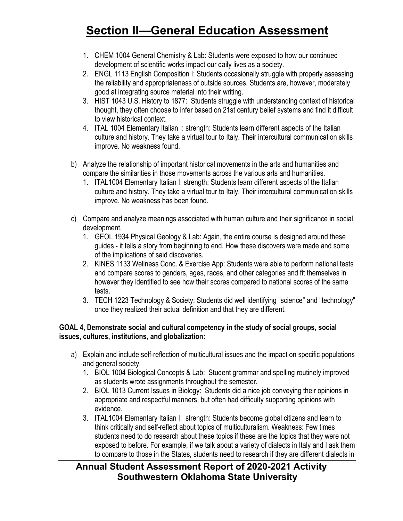- 1. CHEM 1004 General Chemistry & Lab: Students were exposed to how our continued development of scientific works impact our daily lives as a society.
- 2. ENGL 1113 English Composition I: Students occasionally struggle with properly assessing the reliability and appropriateness of outside sources. Students are, however, moderately good at integrating source material into their writing.
- 3. HIST 1043 U.S. History to 1877: Students struggle with understanding context of historical thought, they often choose to infer based on 21st century belief systems and find it difficult to view historical context.
- 4. ITAL 1004 Elementary Italian I: strength: Students learn different aspects of the Italian culture and history. They take a virtual tour to Italy. Their intercultural communication skills improve. No weakness found.
- b) Analyze the relationship of important historical movements in the arts and humanities and compare the similarities in those movements across the various arts and humanities.
	- 1. ITAL1004 Elementary Italian I: strength: Students learn different aspects of the Italian culture and history. They take a virtual tour to Italy. Their intercultural communication skills improve. No weakness has been found.
- c) Compare and analyze meanings associated with human culture and their significance in social development.
	- 1. GEOL 1934 Physical Geology & Lab: Again, the entire course is designed around these guides - it tells a story from beginning to end. How these discovers were made and some of the implications of said discoveries.
	- 2. KINES 1133 Wellness Conc. & Exercise App: Students were able to perform national tests and compare scores to genders, ages, races, and other categories and fit themselves in however they identified to see how their scores compared to national scores of the same tests.
	- 3. TECH 1223 Technology & Society: Students did well identifying "science" and "technology" once they realized their actual definition and that they are different.

## **GOAL 4, Demonstrate social and cultural competency in the study of social groups, social issues, cultures, institutions, and globalization:**

- a) Explain and include self-reflection of multicultural issues and the impact on specific populations and general society.
	- 1. BIOL 1004 Biological Concepts & Lab: Student grammar and spelling routinely improved as students wrote assignments throughout the semester.
	- 2. BIOL 1013 Current Issues in Biology: Students did a nice job conveying their opinions in appropriate and respectful manners, but often had difficulty supporting opinions with evidence.
	- 3. ITAL1004 Elementary Italian I: strength: Students become global citizens and learn to think critically and self-reflect about topics of multiculturalism. Weakness: Few times students need to do research about these topics if these are the topics that they were not exposed to before. For example, if we talk about a variety of dialects in Italy and I ask them to compare to those in the States, students need to research if they are different dialects in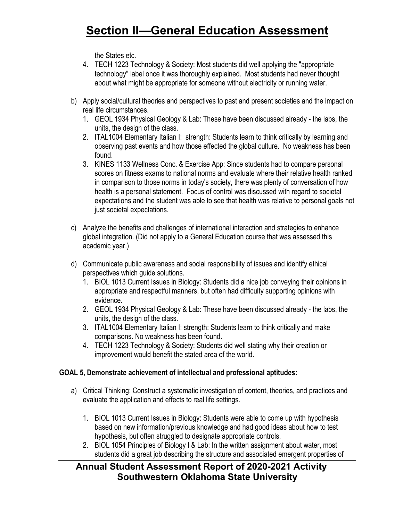the States etc.

- 4. TECH 1223 Technology & Society: Most students did well applying the "appropriate technology" label once it was thoroughly explained. Most students had never thought about what might be appropriate for someone without electricity or running water.
- b) Apply social/cultural theories and perspectives to past and present societies and the impact on real life circumstances.
	- 1. GEOL 1934 Physical Geology & Lab: These have been discussed already the labs, the units, the design of the class.
	- 2. ITAL1004 Elementary Italian I: strength: Students learn to think critically by learning and observing past events and how those effected the global culture. No weakness has been found.
	- 3. KINES 1133 Wellness Conc. & Exercise App: Since students had to compare personal scores on fitness exams to national norms and evaluate where their relative health ranked in comparison to those norms in today's society, there was plenty of conversation of how health is a personal statement. Focus of control was discussed with regard to societal expectations and the student was able to see that health was relative to personal goals not just societal expectations.
- c) Analyze the benefits and challenges of international interaction and strategies to enhance global integration. (Did not apply to a General Education course that was assessed this academic year.)
- d) Communicate public awareness and social responsibility of issues and identify ethical perspectives which guide solutions.
	- 1. BIOL 1013 Current Issues in Biology: Students did a nice job conveying their opinions in appropriate and respectful manners, but often had difficulty supporting opinions with evidence.
	- 2. GEOL 1934 Physical Geology & Lab: These have been discussed already the labs, the units, the design of the class.
	- 3. ITAL1004 Elementary Italian I: strength: Students learn to think critically and make comparisons. No weakness has been found.
	- 4. TECH 1223 Technology & Society: Students did well stating why their creation or improvement would benefit the stated area of the world.

## **GOAL 5, Demonstrate achievement of intellectual and professional aptitudes:**

- a) Critical Thinking: Construct a systematic investigation of content, theories, and practices and evaluate the application and effects to real life settings.
	- 1. BIOL 1013 Current Issues in Biology: Students were able to come up with hypothesis based on new information/previous knowledge and had good ideas about how to test hypothesis, but often struggled to designate appropriate controls.
	- 2. BIOL 1054 Principles of Biology I & Lab: In the written assignment about water, most students did a great job describing the structure and associated emergent properties of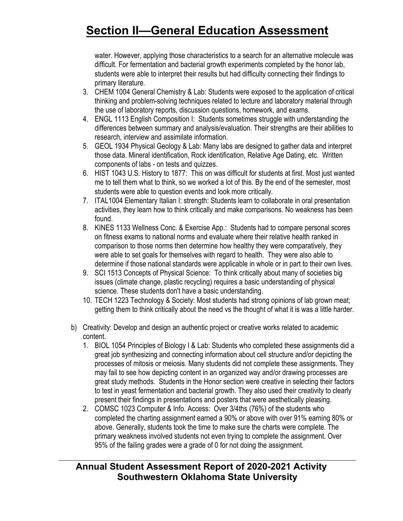water. However, applying those characteristics to a search for an alternative molecule was difficult. For fermentation and bacterial growth experiments completed by the honor lab, students were able to interpret their results but had difficulty connecting their findings to primary literature.

- 3. CHEM 1004 General Chemistry & Lab: Students were exposed to the application of critical thinking and problem-solving techniques related to lecture and laboratory material through the use of laboratory reports, discussion questions, homework, and exams.
- 4. ENGL 1113 English Composition I: Students sometimes struggle with understanding the differences between summary and analysis/evaluation. Their strengths are their abilities to research, interview and assimilate information.
- 5. GEOL 1934 Physical Geology & Lab: Many labs are designed to gather data and interpret those data. Mineral identification, Rock identification, Relative Age Dating, etc. Written components of labs - on tests and quizzes.
- 6. HIST 1043 U.S. History to 1877: This on was difficult for students at first. Most just wanted me to tell them what to think, so we worked a lot of this. By the end of the semester, most students were able to question events and look more critically.
- 7. ITAL1004 Elementary Italian I: strength: Students learn to collaborate in oral presentation activities, they learn how to think critically and make comparisons. No weakness has been found.
- 8. KINES 1133 Wellness Conc. & Exercise App.: Students had to compare personal scores on fitness exams to national norms and evaluate where their relative health ranked in comparison to those norms then determine how healthy they were comparatively, they were able to set goals for themselves with regard to health. They were also able to determine if those national standards were applicable in whole or in part to their own lives.
- 9. SCI 1513 Concepts of Physical Science: To think critically about many of societies big issues (climate change, plastic recycling) requires a basic understanding of physical science. These students don't have a basic understanding.
- 10. TECH 1223 Technology & Society: Most students had strong opinions of lab grown meat; getting them to think critically about the need vs the thought of what it is was a little harder.
- b) Creativity: Develop and design an authentic project or creative works related to academic content.
	- 1. BIOL 1054 Principles of Biology I & Lab: Students who completed these assignments did a great job synthesizing and connecting information about cell structure and/or depicting the processes of mitosis or meiosis. Many students did not complete these assignments. They may fail to see how depicting content in an organized way and/or drawing processes are great study methods. Students in the Honor section were creative in selecting their factors to test in yeast fermentation and bacterial growth. They also used their creativity to clearly present their findings in presentations and posters that were aesthetically pleasing.
	- 2. COMSC 1023 Computer & Info. Access: Over 3/4ths (76%) of the students who completed the charting assignment earned a 90% or above with over 91% earning 80% or above. Generally, students took the time to make sure the charts were complete. The primary weakness involved students not even trying to complete the assignment. Over 95% of the failing grades were a grade of 0 for not doing the assignment.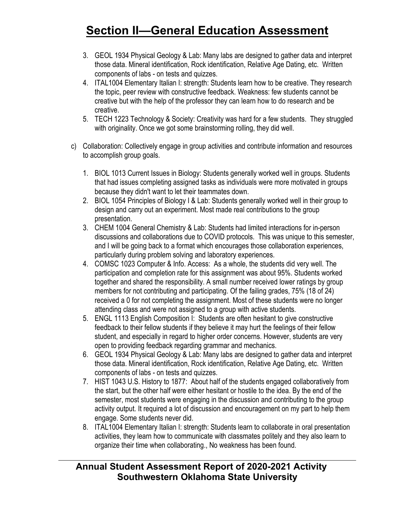- 3. GEOL 1934 Physical Geology & Lab: Many labs are designed to gather data and interpret those data. Mineral identification, Rock identification, Relative Age Dating, etc. Written components of labs - on tests and quizzes.
- 4. ITAL1004 Elementary Italian I: strength: Students learn how to be creative. They research the topic, peer review with constructive feedback. Weakness: few students cannot be creative but with the help of the professor they can learn how to do research and be creative.
- 5. TECH 1223 Technology & Society: Creativity was hard for a few students. They struggled with originality. Once we got some brainstorming rolling, they did well.
- c) Collaboration: Collectively engage in group activities and contribute information and resources to accomplish group goals.
	- 1. BIOL 1013 Current Issues in Biology: Students generally worked well in groups. Students that had issues completing assigned tasks as individuals were more motivated in groups because they didn't want to let their teammates down.
	- 2. BIOL 1054 Principles of Biology I & Lab: Students generally worked well in their group to design and carry out an experiment. Most made real contributions to the group presentation.
	- 3. CHEM 1004 General Chemistry & Lab: Students had limited interactions for in-person discussions and collaborations due to COVID protocols. This was unique to this semester, and I will be going back to a format which encourages those collaboration experiences, particularly during problem solving and laboratory experiences.
	- 4. COMSC 1023 Computer & Info. Access: As a whole, the students did very well. The participation and completion rate for this assignment was about 95%. Students worked together and shared the responsibility. A small number received lower ratings by group members for not contributing and participating. Of the failing grades, 75% (18 of 24) received a 0 for not completing the assignment. Most of these students were no longer attending class and were not assigned to a group with active students.
	- 5. ENGL 1113 English Composition I: Students are often hesitant to give constructive feedback to their fellow students if they believe it may hurt the feelings of their fellow student, and especially in regard to higher order concerns. However, students are very open to providing feedback regarding grammar and mechanics.
	- 6. GEOL 1934 Physical Geology & Lab: Many labs are designed to gather data and interpret those data. Mineral identification, Rock identification, Relative Age Dating, etc. Written components of labs - on tests and quizzes.
	- 7. HIST 1043 U.S. History to 1877: About half of the students engaged collaboratively from the start, but the other half were either hesitant or hostile to the idea. By the end of the semester, most students were engaging in the discussion and contributing to the group activity output. It required a lot of discussion and encouragement on my part to help them engage. Some students never did.
	- 8. ITAL1004 Elementary Italian I: strength: Students learn to collaborate in oral presentation activities, they learn how to communicate with classmates politely and they also learn to organize their time when collaborating., No weakness has been found.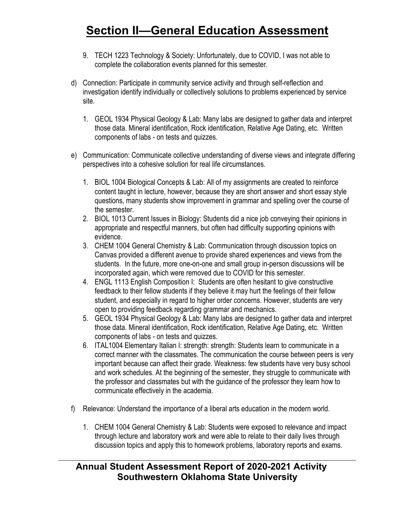- 9. TECH 1223 Technology & Society: Unfortunately, due to COVID, I was not able to complete the collaboration events planned for this semester.
- d) Connection: Participate in community service activity and through self-reflection and investigation identify individually or collectively solutions to problems experienced by service site.
	- 1. GEOL 1934 Physical Geology & Lab: Many labs are designed to gather data and interpret those data. Mineral identification, Rock identification, Relative Age Dating, etc. Written components of labs - on tests and quizzes.
- e) Communication: Communicate collective understanding of diverse views and integrate differing perspectives into a cohesive solution for real life circumstances.
	- 1. BIOL 1004 Biological Concepts & Lab: All of my assignments are created to reinforce content taught in lecture, however, because they are short answer and short essay style questions, many students show improvement in grammar and spelling over the course of the semester.
	- 2. BIOL 1013 Current Issues in Biology: Students did a nice job conveying their opinions in appropriate and respectful manners, but often had difficulty supporting opinions with evidence.
	- 3. CHEM 1004 General Chemistry & Lab: Communication through discussion topics on Canvas provided a different avenue to provide shared experiences and views from the students. In the future, more one-on-one and small group in-person discussions will be incorporated again, which were removed due to COVID for this semester.
	- 4. ENGL 1113 English Composition I: Students are often hesitant to give constructive feedback to their fellow students if they believe it may hurt the feelings of their fellow student, and especially in regard to higher order concerns. However, students are very open to providing feedback regarding grammar and mechanics.
	- 5. GEOL 1934 Physical Geology & Lab: Many labs are designed to gather data and interpret those data. Mineral identification, Rock identification, Relative Age Dating, etc. Written components of labs - on tests and quizzes.
	- 6. ITAL1004 Elementary Italian I: strength: strength: Students learn to communicate in a correct manner with the classmates. The communication the course between peers is very important because can affect their grade. Weakness: few students have very busy school and work schedules. At the beginning of the semester, they struggle to communicate with the professor and classmates but with the guidance of the professor they learn how to communicate effectively in the academia.
- f) Relevance: Understand the importance of a liberal arts education in the modern world.
	- 1. CHEM 1004 General Chemistry & Lab: Students were exposed to relevance and impact through lecture and laboratory work and were able to relate to their daily lives through discussion topics and apply this to homework problems, laboratory reports and exams.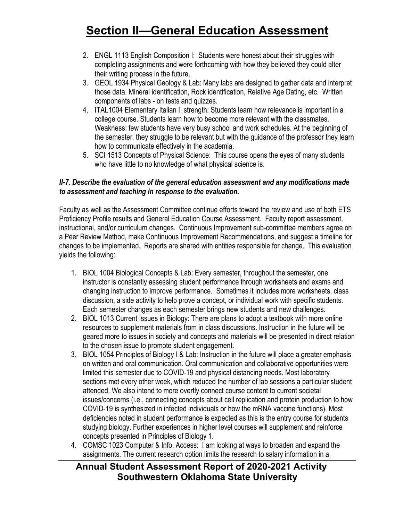- 2. ENGL 1113 English Composition I: Students were honest about their struggles with completing assignments and were forthcoming with how they believed they could alter their writing process in the future.
- 3. GEOL 1934 Physical Geology & Lab: Many labs are designed to gather data and interpret those data. Mineral identification, Rock identification, Relative Age Dating, etc. Written components of labs - on tests and quizzes.
- 4. ITAL1004 Elementary Italian I: strength: Students learn how relevance is important in a college course. Students learn how to become more relevant with the classmates. Weakness: few students have very busy school and work schedules. At the beginning of the semester, they struggle to be relevant but with the guidance of the professor they learn how to communicate effectively in the academia.
- 5. SCI 1513 Concepts of Physical Science: This course opens the eyes of many students who have little to no knowledge of what physical science is.

### *II-7. Describe the evaluation of the general education assessment and any modifications made to assessment and teaching in response to the evaluation.*

Faculty as well as the Assessment Committee continue efforts toward the review and use of both ETS Proficiency Profile results and General Education Course Assessment. Faculty report assessment, instructional, and/or curriculum changes. Continuous Improvement sub-committee members agree on a Peer Review Method, make Continuous Improvement Recommendations, and suggest a timeline for changes to be implemented. Reports are shared with entities responsible for change. This evaluation yields the following:

- 1. BIOL 1004 Biological Concepts & Lab: Every semester, throughout the semester, one instructor is constantly assessing student performance through worksheets and exams and changing instruction to improve performance. Sometimes it includes more worksheets, class discussion, a side activity to help prove a concept, or individual work with specific students. Each semester changes as each semester brings new students and new challenges.
- 2. BIOL 1013 Current Issues in Biology: There are plans to adopt a textbook with more online resources to supplement materials from in class discussions. Instruction in the future will be geared more to issues in society and concepts and materials will be presented in direct relation to the chosen issue to promote student engagement.
- 3. BIOL 1054 Principles of Biology I & Lab: Instruction in the future will place a greater emphasis on written and oral communication. Oral communication and collaborative opportunities were limited this semester due to COVID-19 and physical distancing needs. Most laboratory sections met every other week, which reduced the number of lab sessions a particular student attended. We also intend to more overtly connect course content to current societal issues/concerns (i.e., connecting concepts about cell replication and protein production to how COVID-19 is synthesized in infected individuals or how the mRNA vaccine functions). Most deficiencies noted in student performance is expected as this is the entry course for students studying biology. Further experiences in higher level courses will supplement and reinforce concepts presented in Principles of Biology 1.
- 4. COMSC 1023 Computer & Info. Access: I am looking at ways to broaden and expand the assignments. The current research option limits the research to salary information in a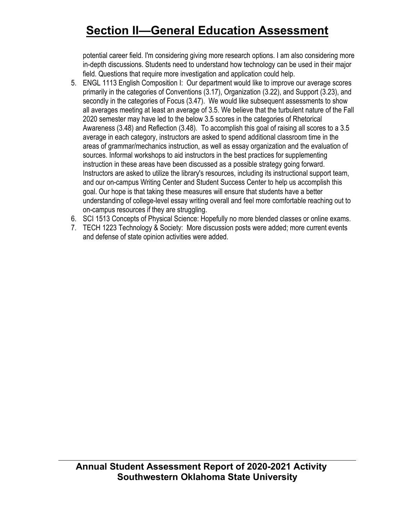potential career field. I'm considering giving more research options. I am also considering more in-depth discussions. Students need to understand how technology can be used in their major field. Questions that require more investigation and application could help.

- 5. ENGL 1113 English Composition I: Our department would like to improve our average scores primarily in the categories of Conventions (3.17), Organization (3.22), and Support (3.23), and secondly in the categories of Focus (3.47). We would like subsequent assessments to show all averages meeting at least an average of 3.5. We believe that the turbulent nature of the Fall 2020 semester may have led to the below 3.5 scores in the categories of Rhetorical Awareness (3.48) and Reflection (3.48). To accomplish this goal of raising all scores to a 3.5 average in each category, instructors are asked to spend additional classroom time in the areas of grammar/mechanics instruction, as well as essay organization and the evaluation of sources. Informal workshops to aid instructors in the best practices for supplementing instruction in these areas have been discussed as a possible strategy going forward. Instructors are asked to utilize the library's resources, including its instructional support team, and our on-campus Writing Center and Student Success Center to help us accomplish this goal. Our hope is that taking these measures will ensure that students have a better understanding of college-level essay writing overall and feel more comfortable reaching out to on-campus resources if they are struggling.
- 6. SCI 1513 Concepts of Physical Science: Hopefully no more blended classes or online exams.
- 7. TECH 1223 Technology & Society: More discussion posts were added; more current events and defense of state opinion activities were added.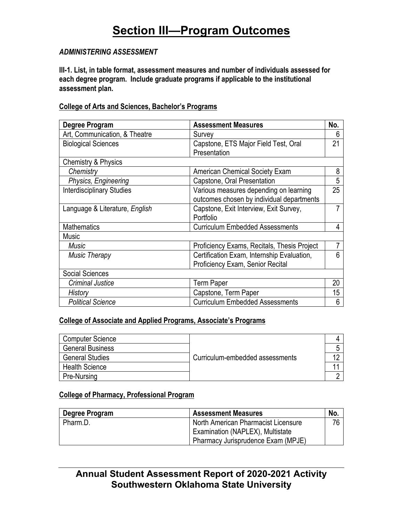### *ADMINISTERING ASSESSMENT*

**III-1. List, in table format, assessment measures and number of individuals assessed for each degree program. Include graduate programs if applicable to the institutional assessment plan.**

### **College of Arts and Sciences, Bachelor's Programs**

| <b>Degree Program</b>            | <b>Assessment Measures</b>                  | No.            |
|----------------------------------|---------------------------------------------|----------------|
| Art, Communication, & Theatre    | Survey                                      | 6              |
| <b>Biological Sciences</b>       | Capstone, ETS Major Field Test, Oral        | 21             |
|                                  | Presentation                                |                |
| <b>Chemistry &amp; Physics</b>   |                                             |                |
| Chemistry                        | <b>American Chemical Society Exam</b>       | 8              |
| Physics, Engineering             | Capstone, Oral Presentation                 | 5              |
| <b>Interdisciplinary Studies</b> | Various measures depending on learning      | 25             |
|                                  | outcomes chosen by individual departments   |                |
| Language & Literature, English   | Capstone, Exit Interview, Exit Survey,      | $\overline{7}$ |
|                                  | Portfolio                                   |                |
| <b>Mathematics</b>               | <b>Curriculum Embedded Assessments</b>      | 4              |
| <b>Music</b>                     |                                             |                |
| Music                            | Proficiency Exams, Recitals, Thesis Project | $\overline{7}$ |
| <b>Music Therapy</b>             | Certification Exam, Internship Evaluation,  | 6              |
|                                  | Proficiency Exam, Senior Recital            |                |
| <b>Social Sciences</b>           |                                             |                |
| Criminal Justice                 | <b>Term Paper</b>                           | 20             |
| History                          | Capstone, Term Paper                        | 15             |
| <b>Political Science</b>         | <b>Curriculum Embedded Assessments</b>      | 6              |

### **College of Associate and Applied Programs, Associate's Programs**

| Computer Science        |                                 |  |
|-------------------------|---------------------------------|--|
| <b>General Business</b> |                                 |  |
| <b>General Studies</b>  | Curriculum-embedded assessments |  |
| <b>Health Science</b>   |                                 |  |
| Pre-Nursing             |                                 |  |

### **College of Pharmacy, Professional Program**

| Degree Program | <b>Assessment Measures</b>          | No. |
|----------------|-------------------------------------|-----|
| Pharm.D.       | North American Pharmacist Licensure | 76  |
|                | Examination (NAPLEX), Multistate    |     |
|                | Pharmacy Jurisprudence Exam (MPJE)  |     |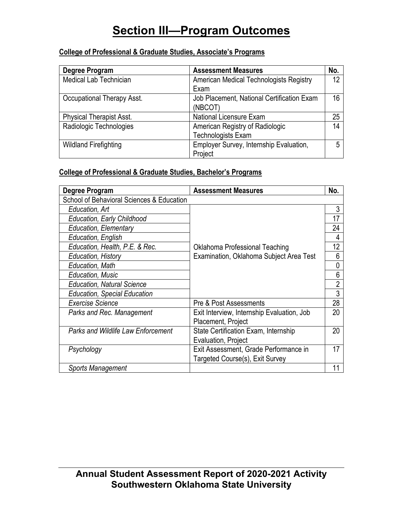## **College of Professional & Graduate Studies, Associate's Programs**

| Degree Program                  | <b>Assessment Measures</b>                 | No. |
|---------------------------------|--------------------------------------------|-----|
| <b>Medical Lab Technician</b>   | American Medical Technologists Registry    | 12  |
|                                 | Exam                                       |     |
| Occupational Therapy Asst.      | Job Placement, National Certification Exam | 16  |
|                                 | (NBCOT)                                    |     |
| <b>Physical Therapist Asst.</b> | National Licensure Exam                    | 25  |
| Radiologic Technologies         | American Registry of Radiologic            | 14  |
|                                 | <b>Technologists Exam</b>                  |     |
| <b>Wildland Firefighting</b>    | Employer Survey, Internship Evaluation,    | 5   |
|                                 | Project                                    |     |

## **College of Professional & Graduate Studies, Bachelor's Programs**

| Degree Program                            | <b>Assessment Measures</b>                 |    |  |  |
|-------------------------------------------|--------------------------------------------|----|--|--|
| School of Behavioral Sciences & Education |                                            |    |  |  |
| Education, Art                            |                                            | 3  |  |  |
| <b>Education, Early Childhood</b>         |                                            | 17 |  |  |
| Education, Elementary                     |                                            | 24 |  |  |
| Education, English                        |                                            |    |  |  |
| Education, Health, P.E. & Rec.            | Oklahoma Professional Teaching             | 12 |  |  |
| Education, History                        | Examination, Oklahoma Subject Area Test    | 6  |  |  |
| Education, Math                           |                                            | 0  |  |  |
| <b>Education, Music</b>                   |                                            | 6  |  |  |
| <b>Education, Natural Science</b>         |                                            | 2  |  |  |
| <b>Education, Special Education</b>       |                                            | 3  |  |  |
| <b>Exercise Science</b>                   | Pre & Post Assessments                     | 28 |  |  |
| Parks and Rec. Management                 | Exit Interview, Internship Evaluation, Job | 20 |  |  |
|                                           | Placement, Project                         |    |  |  |
| <b>Parks and Wildlife Law Enforcement</b> | State Certification Exam, Internship       | 20 |  |  |
|                                           | Evaluation, Project                        |    |  |  |
| Psychology                                | Exit Assessment, Grade Performance in      | 17 |  |  |
|                                           | Targeted Course(s), Exit Survey            |    |  |  |
| <b>Sports Management</b>                  |                                            |    |  |  |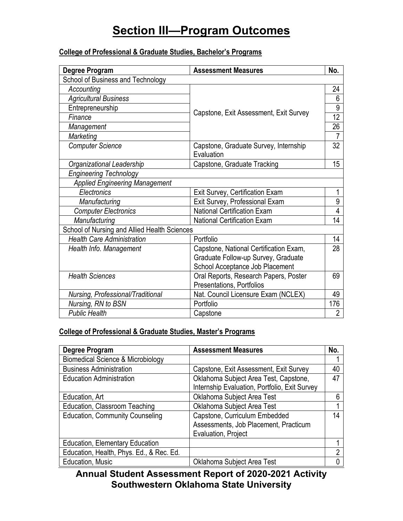## **College of Professional & Graduate Studies, Bachelor's Programs**

| Degree Program                                      | <b>Assessment Measures</b>             | No.            |
|-----------------------------------------------------|----------------------------------------|----------------|
| School of Business and Technology                   |                                        |                |
| Accounting                                          |                                        | 24             |
| <b>Agricultural Business</b>                        |                                        | 6              |
| Entrepreneurship                                    | Capstone, Exit Assessment, Exit Survey | 9              |
| Finance                                             |                                        | 12             |
| Management                                          |                                        | 26             |
| Marketing                                           |                                        |                |
| <b>Computer Science</b>                             | Capstone, Graduate Survey, Internship  | 32             |
|                                                     | Evaluation                             | 15             |
| Organizational Leadership                           | Capstone, Graduate Tracking            |                |
| <b>Engineering Technology</b>                       |                                        |                |
| <b>Applied Engineering Management</b>               |                                        |                |
| Electronics                                         | Exit Survey, Certification Exam        | 1              |
| Manufacturing                                       | Exit Survey, Professional Exam         | 9              |
| <b>Computer Electronics</b>                         | <b>National Certification Exam</b>     | 4              |
| <b>National Certification Exam</b><br>Manufacturing |                                        | 14             |
| School of Nursing and Allied Health Sciences        |                                        |                |
| <b>Health Care Administration</b>                   | Portfolio                              | 14             |
| Health Info. Management                             | Capstone, National Certification Exam, | 28             |
|                                                     | Graduate Follow-up Survey, Graduate    |                |
|                                                     | School Acceptance Job Placement        |                |
| <b>Health Sciences</b>                              | Oral Reports, Research Papers, Poster  | 69             |
|                                                     | Presentations, Portfolios              |                |
| Nursing, Professional/Traditional                   | Nat. Council Licensure Exam (NCLEX)    | 49             |
| Nursing, RN to BSN                                  | Portfolio                              | 176            |
| <b>Public Health</b>                                | Capstone                               | $\overline{2}$ |

## **College of Professional & Graduate Studies, Master's Programs**

| Degree Program                               | <b>Assessment Measures</b>                    | No. |
|----------------------------------------------|-----------------------------------------------|-----|
| <b>Biomedical Science &amp; Microbiology</b> |                                               |     |
| <b>Business Administration</b>               | Capstone, Exit Assessment, Exit Survey        | 40  |
| <b>Education Administration</b>              | Oklahoma Subject Area Test, Capstone,         | 47  |
|                                              | Internship Evaluation, Portfolio, Exit Survey |     |
| Education, Art                               | Oklahoma Subject Area Test                    |     |
| Education, Classroom Teaching                | Oklahoma Subject Area Test                    |     |
| <b>Education, Community Counseling</b>       | Capstone, Curriculum Embedded                 | 14  |
|                                              | Assessments, Job Placement, Practicum         |     |
|                                              | Evaluation, Project                           |     |
| <b>Education, Elementary Education</b>       |                                               |     |
| Education, Health, Phys. Ed., & Rec. Ed.     |                                               | າ   |
| Education, Music                             | Oklahoma Subject Area Test                    |     |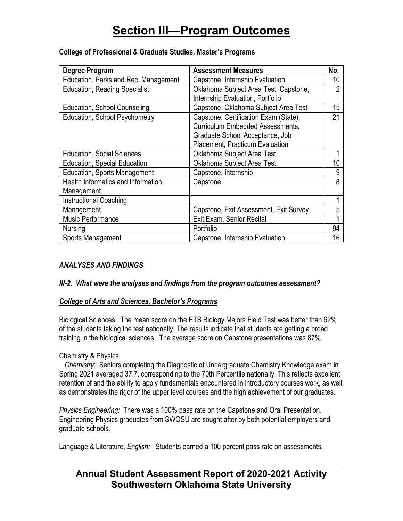| Degree Program                            | <b>Assessment Measures</b>              | No. |
|-------------------------------------------|-----------------------------------------|-----|
|                                           |                                         |     |
| Education, Parks and Rec. Management      | Capstone, Internship Evaluation         | 10  |
| <b>Education, Reading Specialist</b>      | Oklahoma Subject Area Test, Capstone,   | 2   |
|                                           | Internship Evaluation, Portfolio        |     |
| Education, School Counseling              | Capstone, Oklahoma Subject Area Test    | 15  |
| Education, School Psychometry             | Capstone, Certification Exam (State),   | 21  |
|                                           | <b>Curriculum Embedded Assessments,</b> |     |
|                                           | Graduate School Acceptance, Job         |     |
|                                           | Placement, Practicum Evaluation         |     |
| <b>Education, Social Sciences</b>         | Oklahoma Subject Area Test              |     |
| <b>Education, Special Education</b>       | Oklahoma Subject Area Test              | 10  |
| <b>Education, Sports Management</b>       | Capstone, Internship                    | 9   |
| <b>Health Informatics and Information</b> | Capstone                                | 8   |
| Management                                |                                         |     |
| <b>Instructional Coaching</b>             |                                         |     |
| Management                                | Capstone, Exit Assessment, Exit Survey  | 5   |
| Music Performance                         | Exit Exam, Senior Recital               |     |
| Nursing                                   | Portfolio                               | 94  |
| Sports Management                         | Capstone, Internship Evaluation         | 16  |

### **College of Professional & Graduate Studies, Master's Programs**

### *ANALYSES AND FINDINGS*

### *III-2. What were the analyses and findings from the program outcomes assessment?*

### *College of Arts and Sciences, Bachelor's Programs*

Biological Sciences: The mean score on the ETS Biology Majors Field Test was better than 62% of the students taking the test nationally. The results indicate that students are getting a broad training in the biological sciences. The average score on Capstone presentations was 87%.

### Chemistry & Physics

 *Chemistry*: Seniors completing the Diagnostic of Undergraduate Chemistry Knowledge exam in Spring 2021 averaged 37.7, corresponding to the 70th Percentile nationally. This reflects excellent retention of and the ability to apply fundamentals encountered in introductory courses work, as well as demonstrates the rigor of the upper level courses and the high achievement of our graduates.

*Physics Engineering:* There was a 100% pass rate on the Capstone and Oral Presentation. Engineering Physics graduates from SWOSU are sought after by both potential employers and graduate schools.

Language & Literature, *English:* Students earned a 100 percent pass rate on assessments.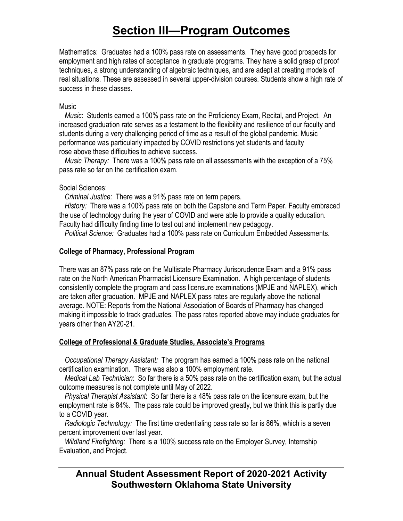Mathematics: Graduates had a 100% pass rate on assessments. They have good prospects for employment and high rates of acceptance in graduate programs. They have a solid grasp of proof techniques, a strong understanding of algebraic techniques, and are adept at creating models of real situations. These are assessed in several upper-division courses. Students show a high rate of success in these classes.

#### **Music**

 *Music*: Students earned a 100% pass rate on the Proficiency Exam, Recital, and Project. An increased graduation rate serves as a testament to the flexibility and resilience of our faculty and students during a very challenging period of time as a result of the global pandemic. Music performance was particularly impacted by COVID restrictions yet students and faculty rose above these difficulties to achieve success.

 *Music Therapy:* There was a 100% pass rate on all assessments with the exception of a 75% pass rate so far on the certification exam.

### Social Sciences:

*Criminal Justice:* There was a 91% pass rate on term papers.

 *History:* There was a 100% pass rate on both the Capstone and Term Paper. Faculty embraced the use of technology during the year of COVID and were able to provide a quality education. Faculty had difficulty finding time to test out and implement new pedagogy.

*Political Science:* Graduates had a 100% pass rate on Curriculum Embedded Assessments.

### **College of Pharmacy, Professional Program**

There was an 87% pass rate on the Multistate Pharmacy Jurisprudence Exam and a 91% pass rate on the North American Pharmacist Licensure Examination. A high percentage of students consistently complete the program and pass licensure examinations (MPJE and NAPLEX), which are taken after graduation. MPJE and NAPLEX pass rates are regularly above the national average. NOTE: Reports from the National Association of Boards of Pharmacy has changed making it impossible to track graduates. The pass rates reported above may include graduates for years other than AY20-21.

### **College of Professional & Graduate Studies, Associate's Programs**

 *Occupational Therapy Assistant:* The program has earned a 100% pass rate on the national certification examination. There was also a 100% employment rate.

 *Medical Lab Technician*: So far there is a 50% pass rate on the certification exam, but the actual outcome measures is not complete until May of 2022.

 *Physical Therapist Assistant*: So far there is a 48% pass rate on the licensure exam, but the employment rate is 84%. The pass rate could be improved greatly, but we think this is partly due to a COVID year.

 *Radiologic Technology:* The first time credentialing pass rate so far is 86%, which is a seven percent improvement over last year.

 *Wildland Firefighting:* There is a 100% success rate on the Employer Survey, Internship Evaluation, and Project.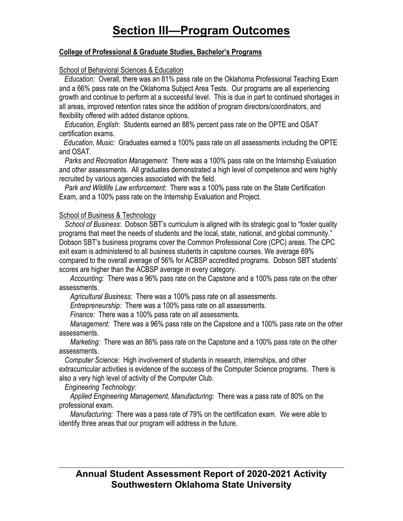#### **College of Professional & Graduate Studies, Bachelor's Programs**

#### School of Behavioral Sciences & Education

 *Education:* Overall, there was an 81% pass rate on the Oklahoma Professional Teaching Exam and a 66% pass rate on the Oklahoma Subject Area Tests. Our programs are all experiencing growth and continue to perform at a successful level. This is due in part to continued shortages in all areas, improved retention rates since the addition of program directors/coordinators, and flexibility offered with added distance options.

 *Education, English*: Students earned an 88% percent pass rate on the OPTE and OSAT certification exams.

 *Education, Music:* Graduates earned a 100% pass rate on all assessments including the OPTE and OSAT.

 *Parks and Recreation Management*: There was a 100% pass rate on the Internship Evaluation and other assessments. All graduates demonstrated a high level of competence and were highly recruited by various agencies associated with the field.

 *Park and Wildlife Law enforcement*: There was a 100% pass rate on the State Certification Exam, and a 100% pass rate on the Internship Evaluation and Project.

#### School of Business & Technology

 *School of Business*: Dobson SBT's curriculum is aligned with its strategic goal to "foster quality programs that meet the needs of students and the local, state, national, and global community." Dobson SBT's business programs cover the Common Professional Core (CPC) areas. The CPC exit exam is administered to all business students in capstone courses. We average 69% compared to the overall average of 56% for ACBSP accredited programs. Dobson SBT students' scores are higher than the ACBSP average in every category.

 *Accounting:* There was a 96% pass rate on the Capstone and a 100% pass rate on the other assessments.

*Agricultural Business:* There was a 100% pass rate on all assessments.

*Entrepreneurship:* There was a 100% pass rate on all assessments.

*Finance:* There was a 100% pass rate on all assessments.

 *Management:* There was a 96% pass rate on the Capstone and a 100% pass rate on the other assessments.

 *Marketing:* There was an 86% pass rate on the Capstone and a 100% pass rate on the other assessments.

 *Computer Science:* High involvement of students in research, internships, and other extracurricular activities is evidence of the success of the Computer Science programs. There is also a very high level of activity of the Computer Club.

*Engineering Technology:* 

 *Applied Engineering Management, Manufacturing:* There was a pass rate of 80% on the professional exam.

 *Manufacturing:* There was a pass rate of 79% on the certification exam. We were able to identify three areas that our program will address in the future.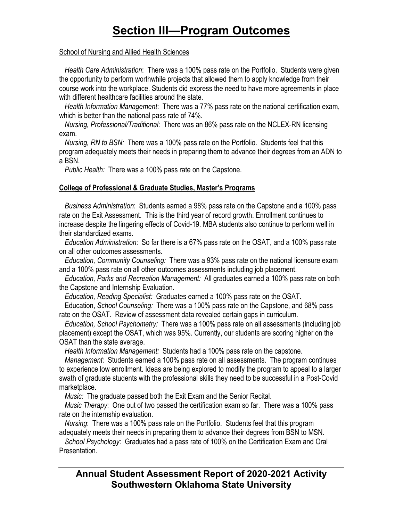#### School of Nursing and Allied Health Sciences

 *Health Care Administration*: There was a 100% pass rate on the Portfolio. Students were given the opportunity to perform worthwhile projects that allowed them to apply knowledge from their course work into the workplace. Students did express the need to have more agreements in place with different healthcare facilities around the state.

 *Health Information Management*: There was a 77% pass rate on the national certification exam, which is better than the national pass rate of 74%.

 *Nursing, Professional/Traditional*: There was an 86% pass rate on the NCLEX-RN licensing exam.

 *Nursing, RN to BSN:* There was a 100% pass rate on the Portfolio. Students feel that this program adequately meets their needs in preparing them to advance their degrees from an ADN to a BSN.

*Public Health:* There was a 100% pass rate on the Capstone.

## **College of Professional & Graduate Studies, Master's Programs**

 *Business Administration*: Students earned a 98% pass rate on the Capstone and a 100% pass rate on the Exit Assessment. This is the third year of record growth. Enrollment continues to increase despite the lingering effects of Covid-19. MBA students also continue to perform well in their standardized exams.

 *Education Administration*: So far there is a 67% pass rate on the OSAT, and a 100% pass rate on all other outcomes assessments.

 *Education, Community Counseling:* There was a 93% pass rate on the national licensure exam and a 100% pass rate on all other outcomes assessments including job placement.

 *Education, Parks and Recreation Management:* All graduates earned a 100% pass rate on both the Capstone and Internship Evaluation.

 *Education, Reading Specialist:* Graduates earned a 100% pass rate on the OSAT.

 Education, *School Counseling:* There was a 100% pass rate on the Capstone, and 68% pass rate on the OSAT. Review of assessment data revealed certain gaps in curriculum.

 *Education, School Psychometry:* There was a 100% pass rate on all assessments (including job placement) except the OSAT, which was 95%. Currently, our students are scoring higher on the OSAT than the state average.

*Health Information Management:* Students had a 100% pass rate on the capstone.

 *Management:* Students earned a 100% pass rate on all assessments. The program continues to experience low enrollment. Ideas are being explored to modify the program to appeal to a larger swath of graduate students with the professional skills they need to be successful in a Post-Covid marketplace.

 *Music:* The graduate passed both the Exit Exam and the Senior Recital.

 *Music Therapy*: One out of two passed the certification exam so far. There was a 100% pass rate on the internship evaluation.

 *Nursing*: There was a 100% pass rate on the Portfolio. Students feel that this program adequately meets their needs in preparing them to advance their degrees from BSN to MSN.

 *School Psychology*: Graduates had a pass rate of 100% on the Certification Exam and Oral Presentation.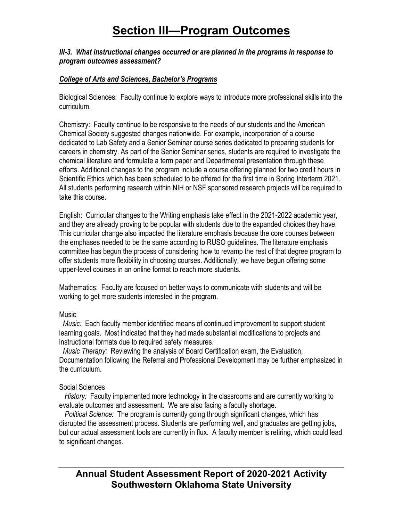#### *III-3. What instructional changes occurred or are planned in the programs in response to program outcomes assessment?*

### *College of Arts and Sciences, Bachelor's Programs*

Biological Sciences:Faculty continue to explore ways to introduce more professional skills into the curriculum.

Chemistry:Faculty continue to be responsive to the needs of our students and the American Chemical Society suggested changes nationwide. For example, incorporation of a course dedicated to Lab Safety and a Senior Seminar course series dedicated to preparing students for careers in chemistry. As part of the Senior Seminar series, students are required to investigate the chemical literature and formulate a term paper and Departmental presentation through these efforts. Additional changes to the program include a course offering planned for two credit hours in Scientific Ethics which has been scheduled to be offered for the first time in Spring Interterm 2021. All students performing research within NIH or NSF sponsored research projects will be required to take this course.

English: Curricular changes to the Writing emphasis take effect in the 2021-2022 academic year, and they are already proving to be popular with students due to the expanded choices they have. This curricular change also impacted the literature emphasis because the core courses between the emphases needed to be the same according to RUSO guidelines. The literature emphasis committee has begun the process of considering how to revamp the rest of that degree program to offer students more flexibility in choosing courses. Additionally, we have begun offering some upper-level courses in an online format to reach more students.

Mathematics: Faculty are focused on better ways to communicate with students and will be working to get more students interested in the program.

### **Music**

 *Music:* Each faculty member identified means of continued improvement to support student learning goals. Most indicated that they had made substantial modifications to projects and instructional formats due to required safety measures.

 *Music Therapy:* Reviewing the analysis of Board Certification exam, the Evaluation, Documentation following the Referral and Professional Development may be further emphasized in the curriculum.

### Social Sciences

 *History:* Faculty implemented more technology in the classrooms and are currently working to evaluate outcomes and assessment. We are also facing a faculty shortage.

 *Political Science:* The program is currently going through significant changes, which has disrupted the assessment process. Students are performing well, and graduates are getting jobs, but our actual assessment tools are currently in flux. A faculty member is retiring, which could lead to significant changes.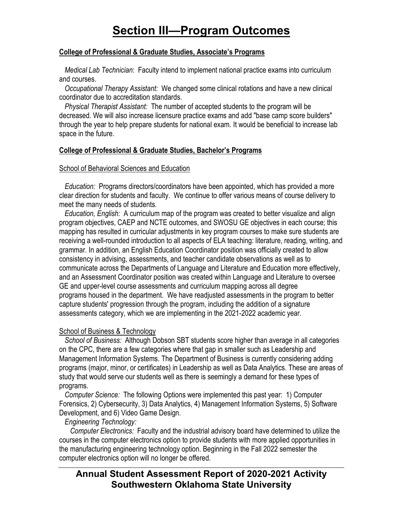#### **College of Professional & Graduate Studies, Associate's Programs**

 *Medical Lab Technician*: Faculty intend to implement national practice exams into curriculum and courses.

 *Occupational Therapy Assistant:* We changed some clinical rotations and have a new clinical coordinator due to accreditation standards.

 *Physical Therapist Assistant:* The number of accepted students to the program will be decreased. We will also increase licensure practice exams and add "base camp score builders" through the year to help prepare students for national exam. It would be beneficial to increase lab space in the future.

### **College of Professional & Graduate Studies, Bachelor's Programs**

#### School of Behavioral Sciences and Education

 *Education:* Programs directors/coordinators have been appointed, which has provided a more clear direction for students and faculty. We continue to offer various means of course delivery to meet the many needs of students.

 *Education, English:* A curriculum map of the program was created to better visualize and align program objectives, CAEP and NCTE outcomes, and SWOSU GE objectives in each course; this mapping has resulted in curricular adjustments in key program courses to make sure students are receiving a well-rounded introduction to all aspects of ELA teaching: literature, reading, writing, and grammar. In addition, an English Education Coordinator position was officially created to allow consistency in advising, assessments, and teacher candidate observations as well as to communicate across the Departments of Language and Literature and Education more effectively, and an Assessment Coordinator position was created within Language and Literature to oversee GE and upper-level course assessments and curriculum mapping across all degree programs housed in the department. We have readjusted assessments in the program to better capture students' progression through the program, including the addition of a signature assessments category, which we are implementing in the 2021-2022 academic year.

### School of Business & Technology

 *School of Business:* Although Dobson SBT students score higher than average in all categories on the CPC, there are a few categories where that gap in smaller such as Leadership and Management Information Systems. The Department of Business is currently considering adding programs (major, minor, or certificates) in Leadership as well as Data Analytics. These are areas of study that would serve our students well as there is seemingly a demand for these types of programs.

 *Computer Science:* The following Options were implemented this past year: 1) Computer Forensics, 2) Cybersecurity, 3) Data Analytics, 4) Management Information Systems, 5) Software Development, and 6) Video Game Design.

### *Engineering Technology:*

 *Computer Electronics:* Faculty and the industrial advisory board have determined to utilize the courses in the computer electronics option to provide students with more applied opportunities in the manufacturing engineering technology option. Beginning in the Fall 2022 semester the computer electronics option will no longer be offered.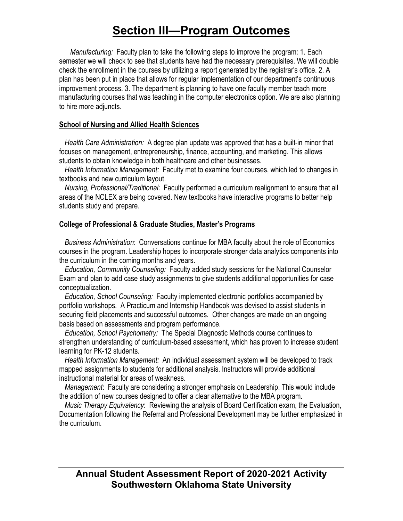*Manufacturing:* Faculty plan to take the following steps to improve the program: 1. Each semester we will check to see that students have had the necessary prerequisites. We will double check the enrollment in the courses by utilizing a report generated by the registrar's office. 2. A plan has been put in place that allows for regular implementation of our department's continuous improvement process. 3. The department is planning to have one faculty member teach more manufacturing courses that was teaching in the computer electronics option. We are also planning to hire more adjuncts.

### **School of Nursing and Allied Health Sciences**

 *Health Care Administration:* A degree plan update was approved that has a built-in minor that focuses on management, entrepreneurship, finance, accounting, and marketing. This allows students to obtain knowledge in both healthcare and other businesses.

 *Health Information Management:* Faculty met to examine four courses, which led to changes in textbooks and new curriculum layout.

 *Nursing, Professional/Traditional*: Faculty performed a curriculum realignment to ensure that all areas of the NCLEX are being covered. New textbooks have interactive programs to better help students study and prepare.

### **College of Professional & Graduate Studies, Master's Programs**

 *Business Administration*: Conversations continue for MBA faculty about the role of Economics courses in the program. Leadership hopes to incorporate stronger data analytics components into the curriculum in the coming months and years.

 *Education, Community Counseling:* Faculty added study sessions for the National Counselor Exam and plan to add case study assignments to give students additional opportunities for case conceptualization.

 *Education, School Counseling:* Faculty implemented electronic portfolios accompanied by portfolio workshops. A Practicum and Internship Handbook was devised to assist students in securing field placements and successful outcomes. Other changes are made on an ongoing basis based on assessments and program performance.

 *Education, School Psychometry:* The Special Diagnostic Methods course continues to strengthen understanding of curriculum-based assessment, which has proven to increase student learning for PK-12 students.

 *Health Information Management:* An individual assessment system will be developed to track mapped assignments to students for additional analysis. Instructors will provide additional instructional material for areas of weakness.

 *Management*: Faculty are considering a stronger emphasis on Leadership. This would include the addition of new courses designed to offer a clear alternative to the MBA program.

 *Music Therapy Equivalency*: Reviewing the analysis of Board Certification exam, the Evaluation, Documentation following the Referral and Professional Development may be further emphasized in the curriculum.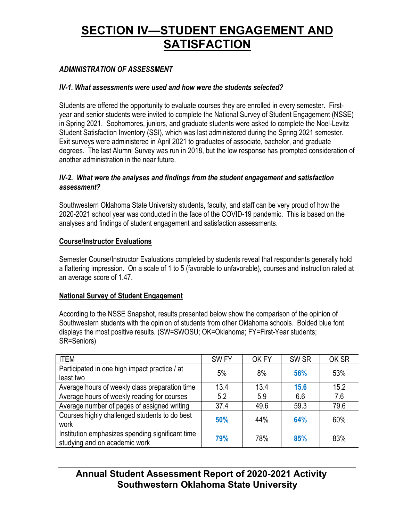### *ADMINISTRATION OF ASSESSMENT*

#### *IV-1. What assessments were used and how were the students selected?*

Students are offered the opportunity to evaluate courses they are enrolled in every semester. Firstyear and senior students were invited to complete the National Survey of Student Engagement (NSSE) in Spring 2021. Sophomores, juniors, and graduate students were asked to complete the Noel-Levitz Student Satisfaction Inventory (SSI), which was last administered during the Spring 2021 semester. Exit surveys were administered in April 2021 to graduates of associate, bachelor, and graduate degrees. The last Alumni Survey was run in 2018, but the low response has prompted consideration of another administration in the near future.

#### *IV-2. What were the analyses and findings from the student engagement and satisfaction assessment?*

Southwestern Oklahoma State University students, faculty, and staff can be very proud of how the 2020-2021 school year was conducted in the face of the COVID-19 pandemic. This is based on the analyses and findings of student engagement and satisfaction assessments.

### **Course/Instructor Evaluations**

Semester Course/Instructor Evaluations completed by students reveal that respondents generally hold a flattering impression. On a scale of 1 to 5 (favorable to unfavorable), courses and instruction rated at an average score of 1.47.

### **National Survey of Student Engagement**

According to the NSSE Snapshot, results presented below show the comparison of the opinion of Southwestern students with the opinion of students from other Oklahoma schools. Bolded blue font displays the most positive results. (SW=SWOSU; OK=Oklahoma; FY=First-Year students; SR=Seniors)

| <b>ITEM</b>                                                                       | SW <sub>FY</sub> | OK FY | SW <sub>SR</sub> | OK SR |
|-----------------------------------------------------------------------------------|------------------|-------|------------------|-------|
| Participated in one high impact practice / at<br>least two                        | 5%               | 8%    | 56%              | 53%   |
| Average hours of weekly class preparation time                                    | 13.4             | 13.4  | 15.6             | 15.2  |
| Average hours of weekly reading for courses                                       | 5.2              | 5.9   | 6.6              | 7.6   |
| Average number of pages of assigned writing                                       | 37.4             | 49.6  | 59.3             | 79.6  |
| Courses highly challenged students to do best<br>work                             | 50%              | 44%   | 64%              | 60%   |
| Institution emphasizes spending significant time<br>studying and on academic work | 79%              | 78%   | 85%              | 83%   |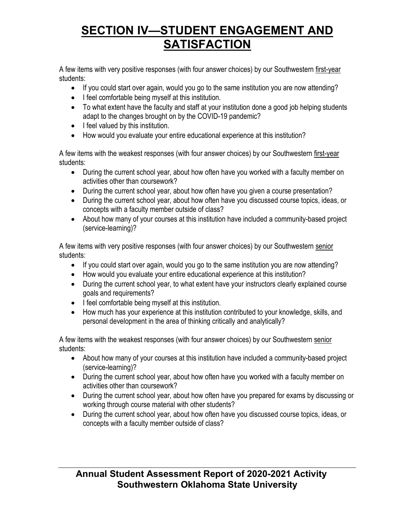A few items with very positive responses (with four answer choices) by our Southwestern first-year students:

- If you could start over again, would you go to the same institution you are now attending?
- I feel comfortable being myself at this institution.
- To what extent have the faculty and staff at your institution done a good job helping students adapt to the changes brought on by the COVID-19 pandemic?
- I feel valued by this institution.
- How would you evaluate your entire educational experience at this institution?

A few items with the weakest responses (with four answer choices) by our Southwestern first-year students:

- During the current school year, about how often have you worked with a faculty member on activities other than coursework?
- During the current school year, about how often have you given a course presentation?
- During the current school year, about how often have you discussed course topics, ideas, or concepts with a faculty member outside of class?
- About how many of your courses at this institution have included a community-based project (service-learning)?

A few items with very positive responses (with four answer choices) by our Southwestern senior students:

- If you could start over again, would you go to the same institution you are now attending?
- How would you evaluate your entire educational experience at this institution?
- During the current school year, to what extent have your instructors clearly explained course goals and requirements?
- I feel comfortable being myself at this institution.
- How much has your experience at this institution contributed to your knowledge, skills, and personal development in the area of thinking critically and analytically?

A few items with the weakest responses (with four answer choices) by our Southwestern senior students:

- About how many of your courses at this institution have included a community-based project (service-learning)?
- During the current school year, about how often have you worked with a faculty member on activities other than coursework?
- During the current school year, about how often have you prepared for exams by discussing or working through course material with other students?
- During the current school year, about how often have you discussed course topics, ideas, or concepts with a faculty member outside of class?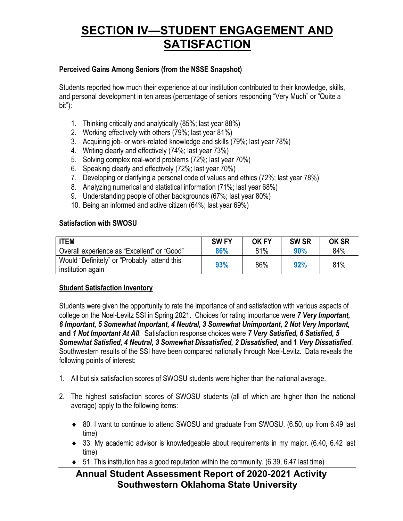### **Perceived Gains Among Seniors (from the NSSE Snapshot)**

Students reported how much their experience at our institution contributed to their knowledge, skills, and personal development in ten areas (percentage of seniors responding "Very Much" or "Quite a bit"):

- 1. Thinking critically and analytically (85%; last year 88%)
- 2. Working effectively with others (79%; last year 81%)
- 3. Acquiring job- or work-related knowledge and skills (79%; last year 78%)
- 4. Writing clearly and effectively (74%; last year 73%)
- 5. Solving complex real-world problems (72%; last year 70%)
- 6. Speaking clearly and effectively (72%; last year 70%)
- 7. Developing or clarifying a personal code of values and ethics (72%; last year 78%)
- 8. Analyzing numerical and statistical information (71%; last year 68%)
- 9. Understanding people of other backgrounds (67%; last year 80%)
- 10. Being an informed and active citizen (64%; last year 69%)

#### **Satisfaction with SWOSU**

| <b>ITEM</b>                                                       | <b>SWFY</b> | <b>OK FY</b> | <b>SW SR</b> | <b>OK SR</b> |
|-------------------------------------------------------------------|-------------|--------------|--------------|--------------|
| Overall experience as "Excellent" or "Good"                       | 86%         | 81%          | 90%          | 84%          |
| Would "Definitely" or "Probably" attend this<br>institution again | 93%         | 86%          | 92%          | 81%          |

### **Student Satisfaction Inventory**

Students were given the opportunity to rate the importance of and satisfaction with various aspects of college on the Noel-Levitz SSI in Spring 2021. Choices for rating importance were *7 Very Important, 6 Important, 5 Somewhat Important, 4 Neutral, 3 Somewhat Unimportant, 2 Not Very Important,*  **and** *1 Not Important At All*. Satisfaction response choices were *7 Very Satisfied, 6 Satisfied, 5 Somewhat Satisfied, 4 Neutral, 3 Somewhat Dissatisfied, 2 Dissatisfied,* **and 1** *Very Dissatisfied*. Southwestern results of the SSI have been compared nationally through Noel-Levitz. Data reveals the following points of interest:

- 1. All but six satisfaction scores of SWOSU students were higher than the national average.
- 2. The highest satisfaction scores of SWOSU students (all of which are higher than the national average) apply to the following items:
	- ♦ 80. I want to continue to attend SWOSU and graduate from SWOSU. (6.50, up from 6.49 last time)
	- ♦ 33. My academic advisor is knowledgeable about requirements in my major. (6.40, 6.42 last time)
	- $\bullet$  51. This institution has a good reputation within the community. (6.39, 6.47 last time)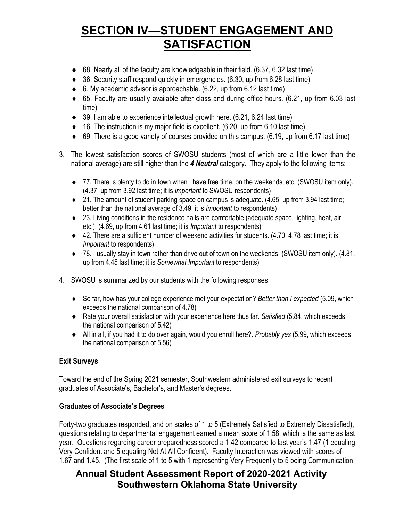- $\bullet$  68. Nearly all of the faculty are knowledgeable in their field. (6.37, 6.32 last time)
- ♦ 36. Security staff respond quickly in emergencies. (6.30, up from 6.28 last time)
- $\bullet$  6. My academic advisor is approachable. (6.22, up from 6.12 last time)
- ♦ 65. Faculty are usually available after class and during office hours. (6.21, up from 6.03 last time)
- $\bullet$  39. I am able to experience intellectual growth here. (6.21, 6.24 last time)
- $\bullet$  16. The instruction is my major field is excellent. (6.20, up from 6.10 last time)
- $\bullet$  69. There is a good variety of courses provided on this campus. (6.19, up from 6.17 last time)
- 3. The lowest satisfaction scores of SWOSU students (most of which are a little lower than the national average) are still higher than the *4 Neutral* category. They apply to the following items:
	- ♦ 77. There is plenty to do in town when I have free time, on the weekends, etc. (SWOSU item only). (4.37, up from 3.92 last time; it is *Important* to SWOSU respondents)
	- $\bullet$  21. The amount of student parking space on campus is adequate. (4.65, up from 3.94 last time; better than the national average of 3.49; it is *Important* to respondents)
	- ♦ 23. Living conditions in the residence halls are comfortable (adequate space, lighting, heat, air, etc.). (4.69, up from 4.61 last time; it is *Important* to respondents)
	- ♦ 42. There are a sufficient number of weekend activities for students. (4.70, 4.78 last time; it is *Important* to respondents)
	- ♦ 78. I usually stay in town rather than drive out of town on the weekends. (SWOSU item only). (4.81, up from 4.45 last time; it is *Somewhat Important* to respondents)
- 4. SWOSU is summarized by our students with the following responses:
	- ♦ So far, how has your college experience met your expectation? *Better than I expected* (5.09, which exceeds the national comparison of 4.78)
	- ♦ Rate your overall satisfaction with your experience here thus far. *Satisfied* (5.84, which exceeds the national comparison of 5.42)
	- ♦ All in all, if you had it to do over again, would you enroll here?. *Probably yes* (5.99, which exceeds the national comparison of 5.56)

## **Exit Surveys**

Toward the end of the Spring 2021 semester, Southwestern administered exit surveys to recent graduates of Associate's, Bachelor's, and Master's degrees.

## **Graduates of Associate's Degrees**

Forty-two graduates responded, and on scales of 1 to 5 (Extremely Satisfied to Extremely Dissatisfied), questions relating to departmental engagement earned a mean score of 1.58, which is the same as last year. Questions regarding career preparedness scored a 1.42 compared to last year's 1.47 (1 equaling Very Confident and 5 equaling Not At All Confident). Faculty Interaction was viewed with scores of 1.67 and 1.45. (The first scale of 1 to 5 with 1 representing Very Frequently to 5 being Communication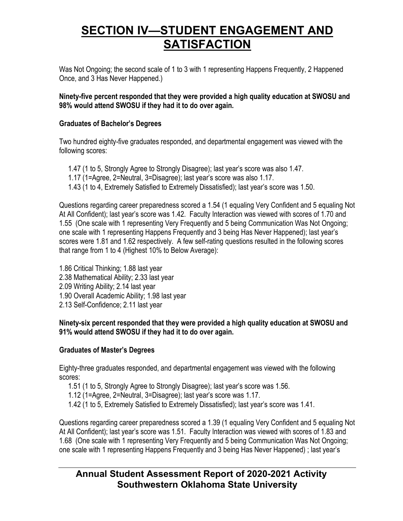Was Not Ongoing; the second scale of 1 to 3 with 1 representing Happens Frequently, 2 Happened Once, and 3 Has Never Happened.)

### **Ninety-five percent responded that they were provided a high quality education at SWOSU and 98% would attend SWOSU if they had it to do over again.**

### **Graduates of Bachelor's Degrees**

Two hundred eighty-five graduates responded, and departmental engagement was viewed with the following scores:

- 1.47 (1 to 5, Strongly Agree to Strongly Disagree); last year's score was also 1.47. 1.17 (1=Agree, 2=Neutral, 3=Disagree); last year's score was also 1.17.
- 1.43 (1 to 4, Extremely Satisfied to Extremely Dissatisfied); last year's score was 1.50.

Questions regarding career preparedness scored a 1.54 (1 equaling Very Confident and 5 equaling Not At All Confident); last year's score was 1.42. Faculty Interaction was viewed with scores of 1.70 and 1.55 (One scale with 1 representing Very Frequently and 5 being Communication Was Not Ongoing; one scale with 1 representing Happens Frequently and 3 being Has Never Happened); last year's scores were 1.81 and 1.62 respectively. A few self-rating questions resulted in the following scores that range from 1 to 4 (Highest 10% to Below Average):

1.86 Critical Thinking; 1.88 last year 2.38 Mathematical Ability; 2.33 last year 2.09 Writing Ability; 2.14 last year 1.90 Overall Academic Ability; 1.98 last year 2.13 Self-Confidence; 2.11 last year

### **Ninety-six percent responded that they were provided a high quality education at SWOSU and 91% would attend SWOSU if they had it to do over again.**

## **Graduates of Master's Degrees**

Eighty-three graduates responded, and departmental engagement was viewed with the following scores:

- 1.51 (1 to 5, Strongly Agree to Strongly Disagree); last year's score was 1.56.
- 1.12 (1=Agree, 2=Neutral, 3=Disagree); last year's score was 1.17.
- 1.42 (1 to 5, Extremely Satisfied to Extremely Dissatisfied); last year's score was 1.41.

Questions regarding career preparedness scored a 1.39 (1 equaling Very Confident and 5 equaling Not At All Confident); last year's score was 1.51. Faculty Interaction was viewed with scores of 1.83 and 1.68 (One scale with 1 representing Very Frequently and 5 being Communication Was Not Ongoing; one scale with 1 representing Happens Frequently and 3 being Has Never Happened) ; last year's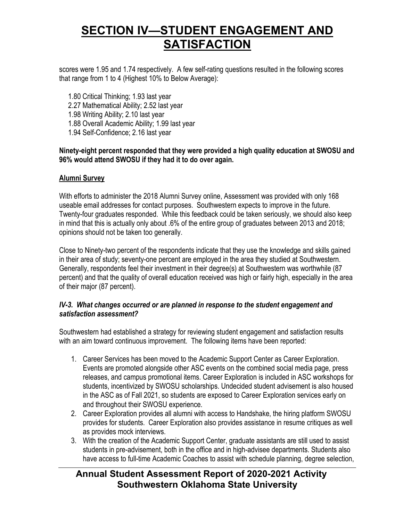scores were 1.95 and 1.74 respectively. A few self-rating questions resulted in the following scores that range from 1 to 4 (Highest 10% to Below Average):

- 1.80 Critical Thinking; 1.93 last year
- 2.27 Mathematical Ability; 2.52 last year
- 1.98 Writing Ability; 2.10 last year
- 1.88 Overall Academic Ability; 1.99 last year
- 1.94 Self-Confidence; 2.16 last year

#### **Ninety-eight percent responded that they were provided a high quality education at SWOSU and 96% would attend SWOSU if they had it to do over again.**

#### **Alumni Survey**

With efforts to administer the 2018 Alumni Survey online, Assessment was provided with only 168 useable email addresses for contact purposes. Southwestern expects to improve in the future. Twenty-four graduates responded. While this feedback could be taken seriously, we should also keep in mind that this is actually only about .6% of the entire group of graduates between 2013 and 2018; opinions should not be taken too generally.

Close to Ninety-two percent of the respondents indicate that they use the knowledge and skills gained in their area of study; seventy-one percent are employed in the area they studied at Southwestern. Generally, respondents feel their investment in their degree(s) at Southwestern was worthwhile (87 percent) and that the quality of overall education received was high or fairly high, especially in the area of their major (87 percent).

#### *IV-3. What changes occurred or are planned in response to the student engagement and satisfaction assessment?*

Southwestern had established a strategy for reviewing student engagement and satisfaction results with an aim toward continuous improvement. The following items have been reported:

- 1. Career Services has been moved to the Academic Support Center as Career Exploration. Events are promoted alongside other ASC events on the combined social media page, press releases, and campus promotional items. Career Exploration is included in ASC workshops for students, incentivized by SWOSU scholarships. Undecided student advisement is also housed in the ASC as of Fall 2021, so students are exposed to Career Exploration services early on and throughout their SWOSU experience.
- 2. Career Exploration provides all alumni with access to Handshake, the hiring platform SWOSU provides for students. Career Exploration also provides assistance in resume critiques as well as provides mock interviews.
- 3. With the creation of the Academic Support Center, graduate assistants are still used to assist students in pre-advisement, both in the office and in high-advisee departments. Students also have access to full-time Academic Coaches to assist with schedule planning, degree selection,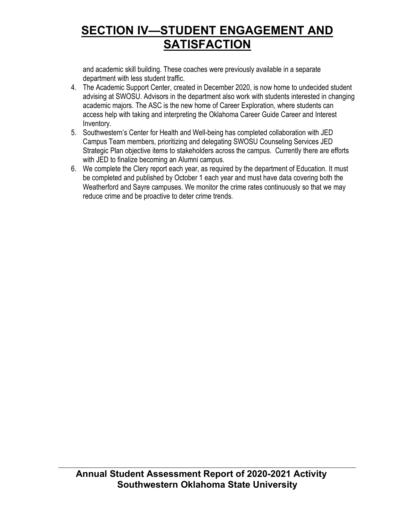and academic skill building. These coaches were previously available in a separate department with less student traffic.

- 4. The Academic Support Center, created in December 2020, is now home to undecided student advising at SWOSU. Advisors in the department also work with students interested in changing academic majors. The ASC is the new home of Career Exploration, where students can access help with taking and interpreting the Oklahoma Career Guide Career and Interest Inventory.
- 5. Southwestern's Center for Health and Well-being has completed collaboration with JED Campus Team members, prioritizing and delegating SWOSU Counseling Services JED Strategic Plan objective items to stakeholders across the campus. Currently there are efforts with JED to finalize becoming an Alumni campus.
- 6. We complete the Clery report each year, as required by the department of Education. It must be completed and published by October 1 each year and must have data covering both the Weatherford and Sayre campuses. We monitor the crime rates continuously so that we may reduce crime and be proactive to deter crime trends.